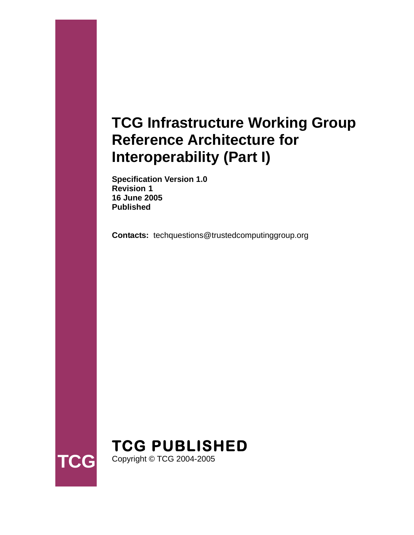# **TCG Infrastructure Working Group Reference Architecture for Interoperability (Part I)**

**Specification Version 1.0 Revision 1 16 June 2005 Published** 

**Contacts:** techquestions@trustedcomputinggroup.org



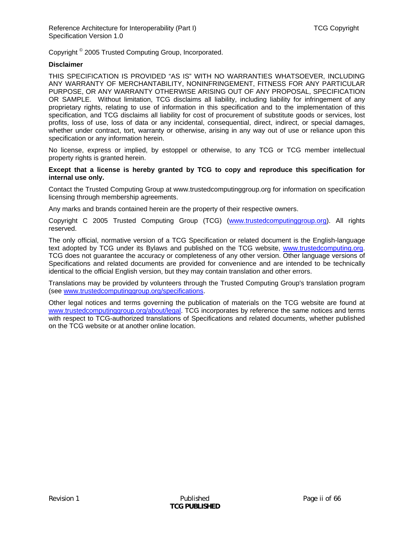Copyright <sup>©</sup> 2005 Trusted Computing Group, Incorporated.

#### **Disclaimer**

THIS SPECIFICATION IS PROVIDED "AS IS" WITH NO WARRANTIES WHATSOEVER, INCLUDING ANY WARRANTY OF MERCHANTABILITY, NONINFRINGEMENT, FITNESS FOR ANY PARTICULAR PURPOSE, OR ANY WARRANTY OTHERWISE ARISING OUT OF ANY PROPOSAL, SPECIFICATION OR SAMPLE. Without limitation, TCG disclaims all liability, including liability for infringement of any proprietary rights, relating to use of information in this specification and to the implementation of this specification, and TCG disclaims all liability for cost of procurement of substitute goods or services, lost profits, loss of use, loss of data or any incidental, consequential, direct, indirect, or special damages, whether under contract, tort, warranty or otherwise, arising in any way out of use or reliance upon this specification or any information herein.

No license, express or implied, by estoppel or otherwise, to any TCG or TCG member intellectual property rights is granted herein.

#### **Except that a license is hereby granted by TCG to copy and reproduce this specification for internal use only.**

Contact the Trusted Computing Group at www.trustedcomputinggroup.org for information on specification licensing through membership agreements.

Any marks and brands contained herein are the property of their respective owners.

Copyright C 2005 Trusted Computing Group (TCG) [\(www.trustedcomputinggroup.org](www.trustedcomputinggroup.org)). All rights reserved.

The only official, normative version of a TCG Specification or related document is the English-language text adopted by TCG under its Bylaws and published on the TCG website, <www.trustedcomputing.org>. TCG does not guarantee the accuracy or completeness of any other version. Other language versions of Specifications and related documents are provided for convenience and are intended to be technically identical to the official English version, but they may contain translation and other errors.

Translations may be provided by volunteers through the Trusted Computing Group's translation program (see [www.trustedcomputinggroup.org/specifications.](www.trustedcomputinggroup.org/specifications)

Other legal notices and terms governing the publication of materials on the TCG website are found at [www.trustedcomputinggroup.org/about/legal.](www.trustedcomputinggroup.org/about/legal) TCG incorporates by reference the same notices and terms with respect to TCG-authorized translations of Specifications and related documents, whether published on the TCG website or at another online location.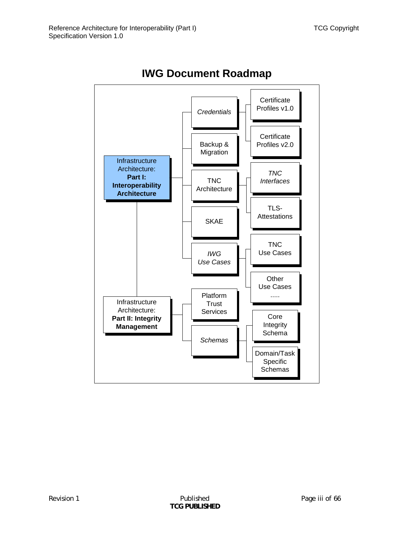

**IWG Document Roadmap**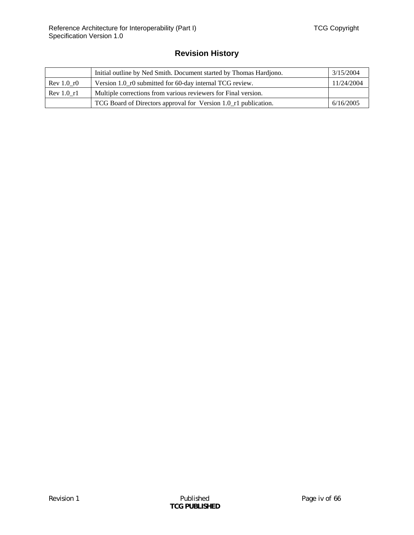## **Revision History**

|            | 3/15/2004<br>Initial outline by Ned Smith. Document started by Thomas Hardjono. |            |
|------------|---------------------------------------------------------------------------------|------------|
| Rev 1.0 r0 | Version 1.0_r0 submitted for 60-day internal TCG review.                        | 11/24/2004 |
| Rev 1.0 r1 | Multiple corrections from various reviewers for Final version.                  |            |
|            | TCG Board of Directors approval for Version 1.0_r1 publication.                 | 6/16/2005  |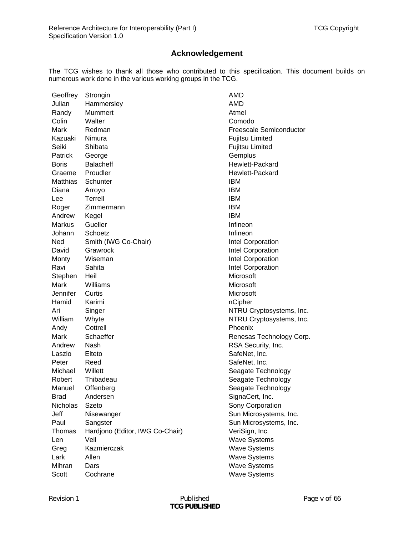### **Acknowledgement**

The TCG wishes to thank all those who contributed to this specification. This document builds on numerous work done in the various working groups in the TCG.

| Geoffrey        | Strongin                        | AMD                      |
|-----------------|---------------------------------|--------------------------|
| Julian          | Hammersley                      | AMD                      |
| Randy           | Mummert                         | Atmel                    |
| Colin           | Walter                          | Comodo                   |
| Mark            | Redman                          | Freescale Semiconductor  |
| Kazuaki         | Nimura                          | <b>Fujitsu Limited</b>   |
| Seiki           | Shibata                         | <b>Fujitsu Limited</b>   |
| Patrick         | George                          | Gemplus                  |
| <b>Boris</b>    | <b>Balacheff</b>                | <b>Hewlett-Packard</b>   |
| Graeme          | Proudler                        | Hewlett-Packard          |
| Matthias        | Schunter                        | <b>IBM</b>               |
| Diana           | Arroyo                          | <b>IBM</b>               |
| Lee             | Terrell                         | <b>IBM</b>               |
| Roger           | Zimmermann                      | <b>IBM</b>               |
| Andrew          | Kegel                           | <b>IBM</b>               |
| <b>Markus</b>   | Gueller                         | Infineon                 |
| Johann          | Schoetz                         | Infineon                 |
| Ned             | Smith (IWG Co-Chair)            | Intel Corporation        |
| David           | Grawrock                        | Intel Corporation        |
| Monty           | Wiseman                         | Intel Corporation        |
| Ravi            | Sahita                          | Intel Corporation        |
| Stephen         | Heil                            | Microsoft                |
| Mark            | Williams                        | Microsoft                |
| Jennifer        | Curtis                          | Microsoft                |
| Hamid           | Karimi                          | nCipher                  |
| Ari             | Singer                          | NTRU Cryptosystems, Inc. |
| William         | Whyte                           | NTRU Cryptosystems, Inc. |
| Andy            | Cottrell                        | Phoenix                  |
| Mark            | Schaeffer                       | Renesas Technology Corp. |
| Andrew          | Nash                            | RSA Security, Inc.       |
| Laszlo          | Elteto                          | SafeNet, Inc.            |
| Peter           | Reed                            | SafeNet, Inc.            |
| Michael         | Willett                         | Seagate Technology       |
| Robert          | Thibadeau                       | Seagate Technology       |
| Manuel          | Offenberg                       | Seagate Technology       |
| Brad            | Andersen                        | SignaCert, Inc.          |
| <b>Nicholas</b> | Szeto                           | Sony Corporation         |
| Jeff            | Nisewanger                      | Sun Microsystems, Inc.   |
| Paul            | Sangster                        | Sun Microsystems, Inc.   |
| Thomas          | Hardjono (Editor, IWG Co-Chair) | VeriSign, Inc.           |
| Len             | Veil                            | <b>Wave Systems</b>      |
| Greg            | Kazmierczak                     | <b>Wave Systems</b>      |
| Lark            | Allen                           | <b>Wave Systems</b>      |
| Mihran          | Dars                            | <b>Wave Systems</b>      |
| Scott           | Cochrane                        | <b>Wave Systems</b>      |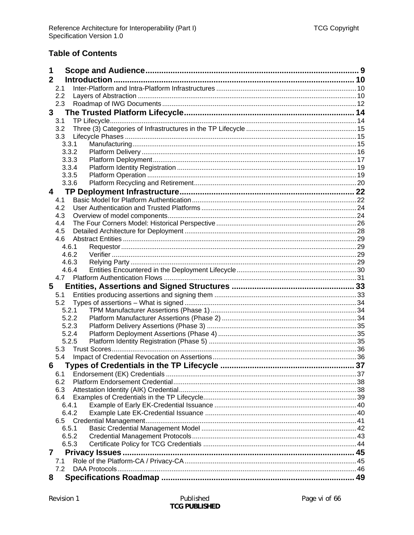### **Table of Contents**

| 1                                             |    |
|-----------------------------------------------|----|
| $\mathbf{2}$                                  |    |
| 2.1                                           |    |
| 2.2                                           |    |
| 2.3                                           |    |
| 3                                             |    |
| 3.1                                           |    |
| 3.2                                           |    |
| 3.3                                           |    |
| 3.3.1                                         |    |
| 3.3.2                                         |    |
| 3.3.3                                         |    |
| 3.3.4                                         |    |
| 3.3.5                                         |    |
| 3.3.6                                         |    |
| 4                                             |    |
| 4.1                                           |    |
| 4.2                                           |    |
| 4.3                                           |    |
| 4.4                                           |    |
| 4.5                                           |    |
| 4.6                                           |    |
| 4.6.1                                         |    |
| 4.6.2                                         |    |
| 4.6.3                                         |    |
| 4.6.4                                         |    |
|                                               |    |
| 5                                             |    |
| 5.1                                           |    |
| 5.2                                           |    |
| 5.2.1                                         |    |
| 5.2.2                                         |    |
| 5.2.3                                         |    |
| 5.2.4                                         |    |
| 5.2.5                                         |    |
| 5.3                                           |    |
| 5.4                                           |    |
| Types of Credentials in the TP Lifecycle<br>6 | 37 |
| 6.1                                           |    |
| 6.2                                           |    |
| 6.3                                           |    |
| 6.4                                           |    |
| 6.4.1                                         |    |
| 6.4.2                                         |    |
| 6.5                                           |    |
| 6.5.1                                         |    |
| 6.5.2                                         |    |
| 6.5.3                                         |    |
| 7                                             |    |
| 7.1                                           |    |
| 7.2                                           |    |
| 8                                             |    |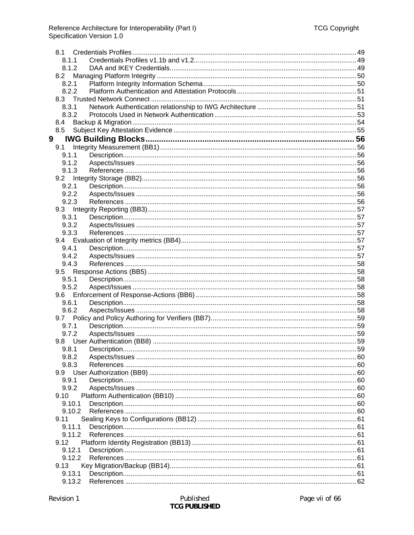| 8.1    |  |
|--------|--|
| 8.1.1  |  |
|        |  |
| 8.1.2  |  |
| 8.2    |  |
| 8.2.1  |  |
| 8.2.2  |  |
| 8.3    |  |
| 8.3.1  |  |
| 8.3.2  |  |
| 8.4    |  |
| 8.5    |  |
| 9      |  |
| 9.1    |  |
| 9.1.1  |  |
| 9.1.2  |  |
| 9.1.3  |  |
| 9.2    |  |
|        |  |
| 9.2.1  |  |
| 9.2.2  |  |
| 9.2.3  |  |
|        |  |
| 9.3.1  |  |
| 9.3.2  |  |
| 9.3.3  |  |
|        |  |
| 9.4.1  |  |
| 9.4.2  |  |
| 9.4.3  |  |
| 9.5    |  |
| 9.5.1  |  |
| 9.5.2  |  |
|        |  |
| 9.6.1  |  |
| 9.6.2  |  |
|        |  |
|        |  |
| 9.7.1  |  |
| 9.7.2  |  |
|        |  |
| 9.8.1  |  |
| 9.8.2  |  |
| 9.8.3  |  |
|        |  |
| 9.9.1  |  |
| 9.9.2  |  |
| 9.10   |  |
| 9.10.1 |  |
| 9.10.2 |  |
| 9.11   |  |
| 9.11.1 |  |
| 9.11.2 |  |
| 9.12   |  |
| 9.12.1 |  |
| 9.12.2 |  |
| 9.13   |  |
| 9.13.1 |  |
| 9.13.2 |  |
|        |  |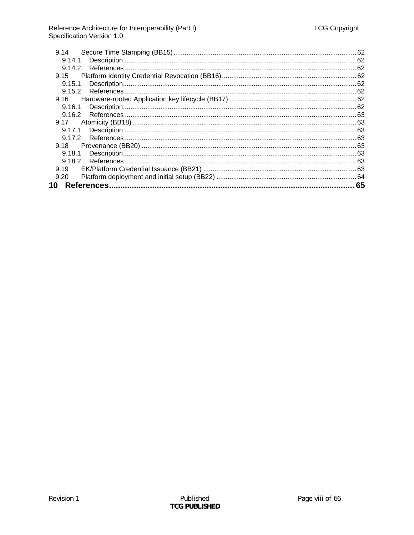| 9.14             |    |
|------------------|----|
| 9.14.1           |    |
| 9.14.2           |    |
| 9.15             |    |
| 9.15.1           |    |
| 9.15.2           |    |
| 9.16             |    |
| 9.16.1           |    |
| 9.16.2           |    |
| 9.17             |    |
| 9.17.1           |    |
| 9.17.2           |    |
| 9.18             |    |
| 9.18.1           |    |
| 9.18.2           |    |
| 9.19             |    |
| 9.20             |    |
| References<br>10 | 65 |
|                  |    |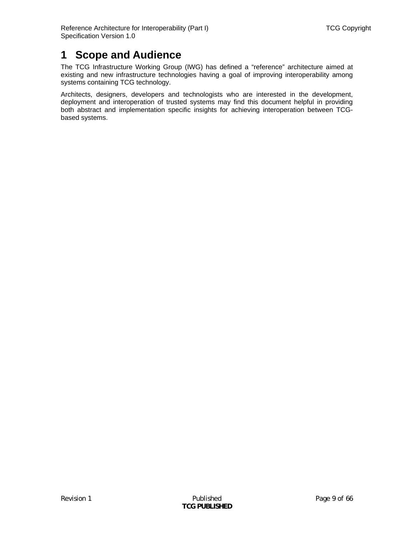# <span id="page-8-0"></span>**1 Scope and Audience**

The TCG Infrastructure Working Group (IWG) has defined a "reference" architecture aimed at existing and new infrastructure technologies having a goal of improving interoperability among systems containing TCG technology.

Architects, designers, developers and technologists who are interested in the development, deployment and interoperation of trusted systems may find this document helpful in providing both abstract and implementation specific insights for achieving interoperation between TCGbased systems.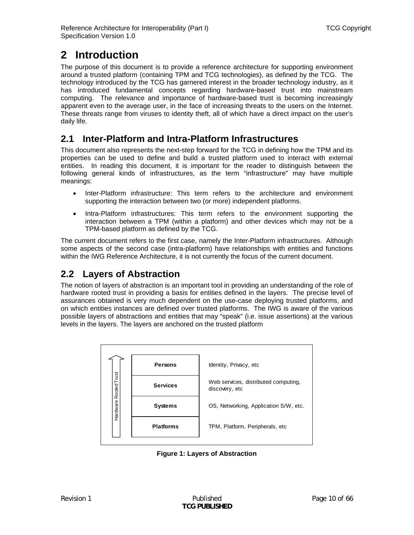# <span id="page-9-0"></span>**2 Introduction**

The purpose of this document is to provide a reference architecture for supporting environment around a trusted platform (containing TPM and TCG technologies), as defined by the TCG. The technology introduced by the TCG has garnered interest in the broader technology industry, as it has introduced fundamental concepts regarding hardware-based trust into mainstream computing. The relevance and importance of hardware-based trust is becoming increasingly apparent even to the average user, in the face of increasing threats to the users on the Internet. These threats range from viruses to identity theft, all of which have a direct impact on the user's daily life.

# **2.1 Inter-Platform and Intra-Platform Infrastructures**

This document also represents the next-step forward for the TCG in defining how the TPM and its properties can be used to define and build a trusted platform used to interact with external entities. In reading this document, it is important for the reader to distinguish between the following general kinds of infrastructures, as the term "infrastructure" may have multiple meanings:

- Inter-Platform infrastructure: This term refers to the architecture and environment supporting the interaction between two (or more) independent platforms.
- Intra-Platform infrastructures: This term refers to the environment supporting the interaction between a TPM (within a platform) and other devices which may not be a TPM-based platform as defined by the TCG.

The current document refers to the first case, namely the Inter-Platform infrastructures. Although some aspects of the second case (intra-platform) have relationships with entities and functions within the IWG Reference Architecture, it is not currently the focus of the current document.

# <span id="page-9-2"></span>**2.2 Layers of Abstraction**

The notion of layers of abstraction is an important tool in providing an understanding of the role of hardware rooted trust in providing a basis for entities defined in the layers. The precise level of assurances obtained is very much dependent on the use-case deploying trusted platforms, and on which entities instances are defined over trusted platforms. The IWG is aware of the various possible layers of abstractions and entities that may "speak" (i.e. issue assertions) at the various levels in the layers. The layers are anchored on the trusted platform

<span id="page-9-1"></span>

**Figure 1: Layers of Abstraction**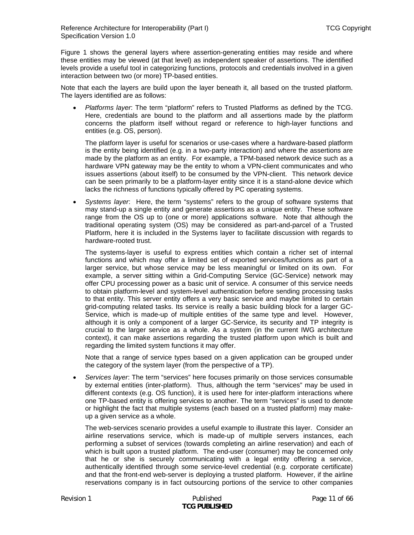[Figure 1](#page-9-1) shows the general layers where assertion-generating entities may reside and where these entities may be viewed (at that level) as independent speaker of assertions. The identified levels provide a useful tool in categorizing functions, protocols and credentials involved in a given interaction between two (or more) TP-based entities.

Note that each the layers are build upon the layer beneath it, all based on the trusted platform. The layers identified are as follows:

• *Platforms layer*: The term "platform" refers to Trusted Platforms as defined by the TCG. Here, credentials are bound to the platform and all assertions made by the platform concerns the platform itself without regard or reference to high-layer functions and entities (e.g. OS, person).

The platform layer is useful for scenarios or use-cases where a hardware-based platform is the entity being identified (e.g. in a two-party interaction) and where the assertions are made by the platform as an entity. For example, a TPM-based network device such as a hardware VPN gateway may be the entity to whom a VPN-client communicates and who issues assertions (about itself) to be consumed by the VPN-client. This network device can be seen primarily to be a platform-layer entity since it is a stand-alone device which lacks the richness of functions typically offered by PC operating systems.

• *Systems layer*: Here, the term "systems" refers to the group of software systems that may stand-up a single entity and generate assertions as a unique entity. These software range from the OS up to (one or more) applications software. Note that although the traditional operating system (OS) may be considered as part-and-parcel of a Trusted Platform, here it is included in the Systems layer to facilitate discussion with regards to hardware-rooted trust.

The systems-layer is useful to express entities which contain a richer set of internal functions and which may offer a limited set of exported services/functions as part of a larger service, but whose service may be less meaningful or limited on its own. For example, a server sitting within a Grid-Computing Service (GC-Service) network may offer CPU processing power as a basic unit of service. A consumer of this service needs to obtain platform-level and system-level authentication before sending processing tasks to that entity. This server entity offers a very basic service and maybe limited to certain grid-computing related tasks. Its service is really a basic building block for a larger GC-Service, which is made-up of multiple entities of the same type and level. However, although it is only a component of a larger GC-Service, its security and TP integrity is crucial to the larger service as a whole. As a system (in the current IWG architecture context), it can make assertions regarding the trusted platform upon which is built and regarding the limited system functions it may offer.

Note that a range of service types based on a given application can be grouped under the category of the system layer (from the perspective of a TP).

• *Services layer*: The term "services" here focuses primarily on those services consumable by external entities (inter-platform). Thus, although the term "services" may be used in different contexts (e.g. OS function), it is used here for inter-platform interactions where one TP-based entity is offering services to another. The term "services" is used to denote or highlight the fact that multiple systems (each based on a trusted platform) may makeup a given service as a whole.

The web-services scenario provides a useful example to illustrate this layer. Consider an airline reservations service, which is made-up of multiple servers instances, each performing a subset of services (towards completing an airline reservation) and each of which is built upon a trusted platform. The end-user (consumer) may be concerned only that he or she is securely communicating with a legal entity offering a service, authentically identified through some service-level credential (e.g. corporate certificate) and that the front-end web-server is deploying a trusted platform. However, if the airline reservations company is in fact outsourcing portions of the service to other companies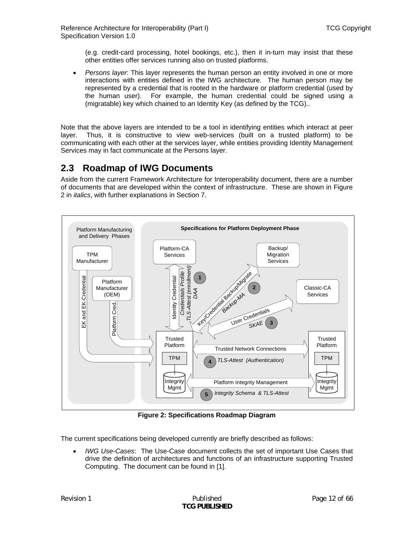<span id="page-11-0"></span>(e.g. credit-card processing, hotel bookings, etc.), then it in-turn may insist that these other entities offer services running also on trusted platforms.

• *Persons layer*: This layer represents the human person an entity involved in one or more interactions with entities defined in the IWG architecture. The human person may be represented by a credential that is rooted in the hardware or platform credential (used by the human user). For example, the human credential could be signed using a (migratable) key which chained to an Identity Key (as defined by the TCG)..

Note that the above layers are intended to be a tool in identifying entities which interact at peer layer. Thus, it is constructive to view web-services (built on a trusted platform) to be communicating with each other at the services layer, while entities providing Identity Management Services may in fact communicate at the Persons layer.

# **2.3 Roadmap of IWG Documents**

Aside from the current Framework Architecture for Interoperability document, there are a number of documents that are developed within the context of infrastructure. These are shown in Figure 2 in *italics*, with further explanations in Section 7.



**Figure 2: Specifications Roadmap Diagram** 

The current specifications being developed currently are briefly described as follows:

• *IWG Use-Cases*: The Use-Case document collects the set of important Use Cases that drive the definition of architectures and functions of an infrastructure supporting Trusted Computing. The document can be found in [\[1\].](#page-64-1)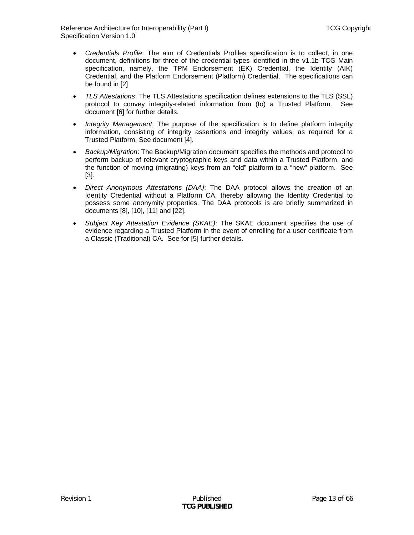- *Credentials Profile*: The aim of Credentials Profiles specification is to collect, in one document, definitions for three of the credential types identified in the v1.1b TCG Main specification, namely, the TPM Endorsement (EK) Credential, the Identity (AIK) Credential, and the Platform Endorsement (Platform) Credential. The specifications can be found in [\[2\]](#page-64-2)
- *TLS Attestations*: The TLS Attestations specification defines extensions to the TLS (SSL) protocol to convey integrity-related information from (to) a Trusted Platform. See document [\[6\]](#page-64-3) for further details.
- *Integrity Management*: The purpose of the specification is to define platform integrity information, consisting of integrity assertions and integrity values, as required for a Trusted Platform. See document [\[4\].](#page-64-4)
- *Backup/Migration*: The Backup/Migration document specifies the methods and protocol to perform backup of relevant cryptographic keys and data within a Trusted Platform, and the function of moving (migrating) keys from an "old" platform to a "new" platform. See [\[3\]](#page-64-5).
- *Direct Anonymous Attestations (DAA)*: The DAA protocol allows the creation of an Identity Credential without a Platform CA, thereby allowing the Identity Credential to possess some anonymity properties. The DAA protocols is are briefly summarized in documents [\[8\],](#page-64-6) [\[10\]](#page-64-7), [\[11\]](#page-64-8) and [\[22\]](#page-65-0).
- *Subject Key Attestation Evidence (SKAE)*: The SKAE document specifies the use of evidence regarding a Trusted Platform in the event of enrolling for a user certificate from a Classic (Traditional) CA. See for [\[5\]](#page-64-9) further details.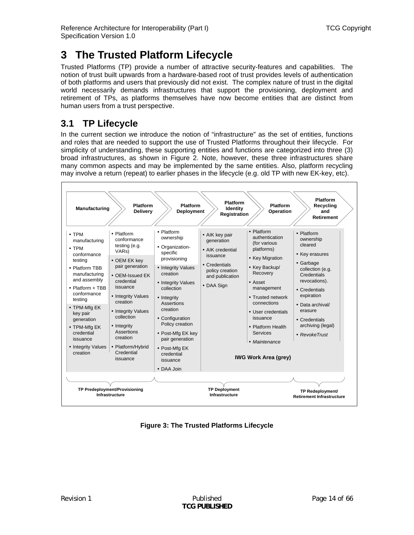# <span id="page-13-2"></span><span id="page-13-0"></span>**3 The Trusted Platform Lifecycle**

Trusted Platforms (TP) provide a number of attractive security-features and capabilities. The notion of trust built upwards from a hardware-based root of trust provides levels of authentication of both platforms and users that previously did not exist. The complex nature of trust in the digital world necessarily demands infrastructures that support the provisioning, deployment and retirement of TPs, as platforms themselves have now become entities that are distinct from human users from a trust perspective.

# **3.1 TP Lifecycle**

In the current section we introduce the notion of "infrastructure" as the set of entities, functions and roles that are needed to support the use of Trusted Platforms throughout their lifecycle. For simplicity of understanding, these supporting entities and functions are categorized into three (3) broad infrastructures, as shown in Figure 2. Note, however, these three infrastructures share many common aspects and may be implemented by the same entities. Also, platform recycling may involve a return (repeat) to earlier phases in the lifecycle (e.g. old TP with new EK-key, etc).



<span id="page-13-1"></span>**Figure 3: The Trusted Platforms Lifecycle**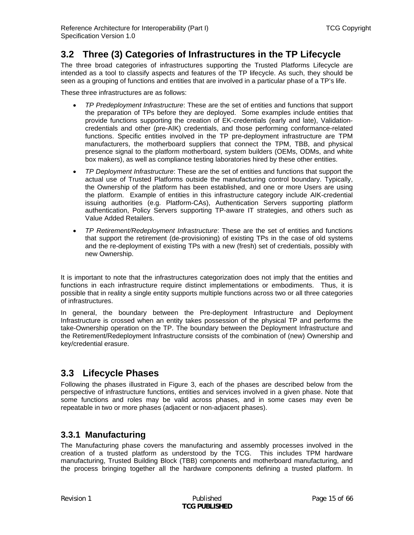## <span id="page-14-0"></span>**3.2 Three (3) Categories of Infrastructures in the TP Lifecycle**

The three broad categories of infrastructures supporting the Trusted Platforms Lifecycle are intended as a tool to classify aspects and features of the TP lifecycle. As such, they should be seen as a grouping of functions and entities that are involved in a particular phase of a TP's life.

These three infrastructures are as follows:

- *TP Predeployment Infrastructure*: These are the set of entities and functions that support the preparation of TPs before they are deployed. Some examples include entities that provide functions supporting the creation of EK-credentials (early and late), Validationcredentials and other (pre-AIK) credentials, and those performing conformance-related functions. Specific entities involved in the TP pre-deployment infrastructure are TPM manufacturers, the motherboard suppliers that connect the TPM, TBB, and physical presence signal to the platform motherboard, system builders (OEMs, ODMs, and white box makers), as well as compliance testing laboratories hired by these other entities.
- *TP Deployment Infrastructure*: These are the set of entities and functions that support the actual use of Trusted Platforms outside the manufacturing control boundary. Typically, the Ownership of the platform has been established, and one or more Users are using the platform. Example of entities in this infrastructure category include AIK-credential issuing authorities (e.g. Platform-CAs), Authentication Servers supporting platform authentication, Policy Servers supporting TP-aware IT strategies, and others such as Value Added Retailers.
- *TP Retirement/Redeployment Infrastructure*: These are the set of entities and functions that support the retirement (de-provisioning) of existing TPs in the case of old systems and the re-deployment of existing TPs with a new (fresh) set of credentials, possibly with new Ownership.

It is important to note that the infrastructures categorization does not imply that the entities and functions in each infrastructure require distinct implementations or embodiments. Thus, it is possible that in reality a single entity supports multiple functions across two or all three categories of infrastructures.

In general, the boundary between the Pre-deployment Infrastructure and Deployment Infrastructure is crossed when an entity takes possession of the physical TP and performs the take-Ownership operation on the TP. The boundary between the Deployment Infrastructure and the Retirement/Redeployment Infrastructure consists of the combination of (new) Ownership and key/credential erasure.

## <span id="page-14-1"></span>**3.3 Lifecycle Phases**

Following the phases illustrated in [Figure 3,](#page-13-1) each of the phases are described below from the perspective of infrastructure functions, entities and services involved in a given phase. Note that some functions and roles may be valid across phases, and in some cases may even be repeatable in two or more phases (adjacent or non-adjacent phases).

### **3.3.1 Manufacturing**

The Manufacturing phase covers the manufacturing and assembly processes involved in the creation of a trusted platform as understood by the TCG. This includes TPM hardware manufacturing, Trusted Building Block (TBB) components and motherboard manufacturing, and the process bringing together all the hardware components defining a trusted platform. In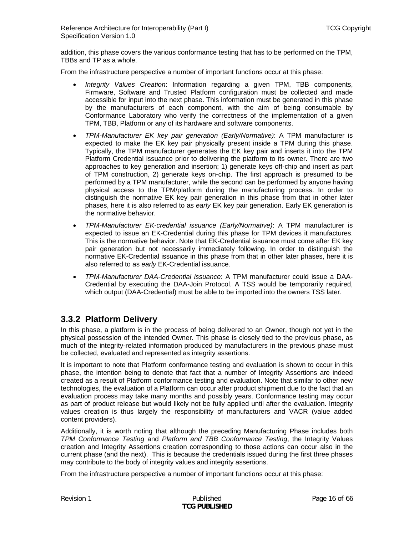<span id="page-15-0"></span>addition, this phase covers the various conformance testing that has to be performed on the TPM, TBBs and TP as a whole.

From the infrastructure perspective a number of important functions occur at this phase:

- *Integrity Values Creation*: Information regarding a given TPM, TBB components, Firmware, Software and Trusted Platform configuration must be collected and made accessible for input into the next phase. This information must be generated in this phase by the manufacturers of each component, with the aim of being consumable by Conformance Laboratory who verify the correctness of the implementation of a given TPM, TBB, Platform or any of its hardware and software components.
- *TPM-Manufacturer EK key pair generation (Early/Normative)*: A TPM manufacturer is expected to make the EK key pair physically present inside a TPM during this phase. Typically, the TPM manufacturer generates the EK key pair and inserts it into the TPM Platform Credential issuance prior to delivering the platform to its owner. There are two approaches to key generation and insertion; 1) generate keys off-chip and insert as part of TPM construction, 2) generate keys on-chip. The first approach is presumed to be performed by a TPM manufacturer, while the second can be performed by anyone having physical access to the TPM/platform during the manufacturing process. In order to distinguish the normative EK key pair generation in this phase from that in other later phases, here it is also referred to as *early* EK key pair generation. Early EK generation is the normative behavior.
- *TPM-Manufacturer EK-credential issuance (Early/Normative)*: A TPM manufacturer is expected to issue an EK-Credential during this phase for TPM devices it manufactures. This is the normative behavior. Note that EK-Credential issuance must come after EK key pair generation but not necessarily immediately following. In order to distinguish the normative EK-Credential issuance in this phase from that in other later phases, here it is also referred to as *early* EK-Credential issuance.
- *TPM-Manufacturer DAA-Credential issuance*: A TPM manufacturer could issue a DAA-Credential by executing the DAA-Join Protocol. A TSS would be temporarily required, which output (DAA-Credential) must be able to be imported into the owners TSS later.

### **3.3.2 Platform Delivery**

In this phase, a platform is in the process of being delivered to an Owner, though not yet in the physical possession of the intended Owner. This phase is closely tied to the previous phase, as much of the integrity-related information produced by manufacturers in the previous phase must be collected, evaluated and represented as integrity assertions.

It is important to note that Platform conformance testing and evaluation is shown to occur in this phase, the intention being to denote that fact that a number of Integrity Assertions are indeed created as a result of Platform conformance testing and evaluation. Note that similar to other new technologies, the evaluation of a Platform can occur after product shipment due to the fact that an evaluation process may take many months and possibly years. Conformance testing may occur as part of product release but would likely not be fully applied until after the evaluation. Integrity values creation is thus largely the responsibility of manufacturers and VACR (value added content providers).

Additionally, it is worth noting that although the preceding Manufacturing Phase includes both *TPM Conformance Testing* and *Platform and TBB Conformance Testing*, the Integrity Values creation and Integrity Assertions creation corresponding to those actions can occur also in the current phase (and the next). This is because the credentials issued during the first three phases may contribute to the body of integrity values and integrity assertions.

From the infrastructure perspective a number of important functions occur at this phase: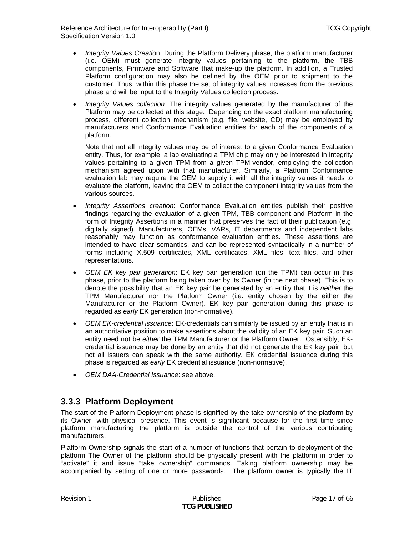<span id="page-16-0"></span>Reference Architecture for Interoperability (Part I) TCG Copyright Specification Version 1.0

- *Integrity Values Creatio*n: During the Platform Delivery phase, the platform manufacturer (i.e. OEM) must generate integrity values pertaining to the platform, the TBB components, Firmware and Software that make-up the platform. In addition, a Trusted Platform configuration may also be defined by the OEM prior to shipment to the customer. Thus, within this phase the set of integrity values increases from the previous phase and will be input to the Integrity Values collection process.
- *Integrity Values collection*: The integrity values generated by the manufacturer of the Platform may be collected at this stage. Depending on the exact platform manufacturing process, different collection mechanism (e.g. file, website, CD) may be employed by manufacturers and Conformance Evaluation entities for each of the components of a platform.

Note that not all integrity values may be of interest to a given Conformance Evaluation entity. Thus, for example, a lab evaluating a TPM chip may only be interested in integrity values pertaining to a given TPM from a given TPM-vendor, employing the collection mechanism agreed upon with that manufacturer. Similarly, a Platform Conformance evaluation lab may require the OEM to supply it with all the integrity values it needs to evaluate the platform, leaving the OEM to collect the component integrity values from the various sources.

- *Integrity Assertions creation*: Conformance Evaluation entities publish their positive findings regarding the evaluation of a given TPM, TBB component and Platform in the form of Integrity Assertions in a manner that preserves the fact of their publication (e.g. digitally signed). Manufacturers, OEMs, VARs, IT departments and independent labs reasonably may function as conformance evaluation entities. These assertions are intended to have clear semantics, and can be represented syntactically in a number of forms including X.509 certificates, XML certificates, XML files, text files, and other representations.
- *OEM EK key pair generation*: EK key pair generation (on the TPM) can occur in this phase, prior to the platform being taken over by its Owner (in the next phase). This is to denote the possibility that an EK key pair be generated by an entity that it is *neither* the TPM Manufacturer nor the Platform Owner (i.e. entity chosen by the either the Manufacturer or the Platform Owner). EK key pair generation during this phase is regarded as *early* EK generation (non-normative).
- *OEM EK-credential issuance*: EK-credentials can similarly be issued by an entity that is in an authoritative position to make assertions about the validity of an EK key pair. Such an entity need not be *either* the TPM Manufacturer or the Platform Owner. Ostensibly, EKcredential issuance may be done by an entity that did not generate the EK key pair, but not all issuers can speak with the same authority. EK credential issuance during this phase is regarded as *early* EK credential issuance (non-normative).
- *OEM DAA-Credential Issuance*: see above.

### **3.3.3 Platform Deployment**

The start of the Platform Deployment phase is signified by the take-ownership of the platform by its Owner, with physical presence. This event is significant because for the first time since platform manufacturing the platform is outside the control of the various contributing manufacturers.

Platform Ownership signals the start of a number of functions that pertain to deployment of the platform The Owner of the platform should be physically present with the platform in order to "activate" it and issue "take ownership" commands. Taking platform ownership may be accompanied by setting of one or more passwords. The platform owner is typically the IT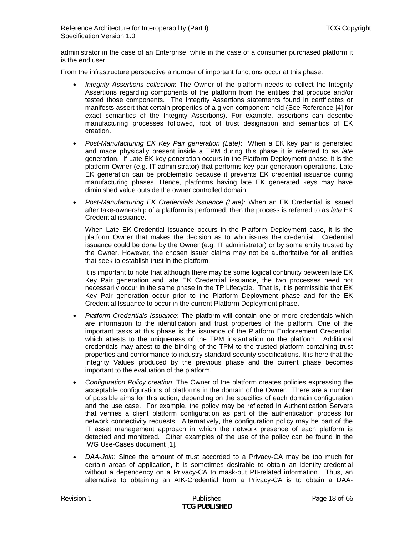administrator in the case of an Enterprise, while in the case of a consumer purchased platform it is the end user.

From the infrastructure perspective a number of important functions occur at this phase:

- *Integrity Assertions collection*: The Owner of the platform needs to collect the Integrity Assertions regarding components of the platform from the entities that produce and/or tested those components. The Integrity Assertions statements found in certificates or manifests assert that certain properties of a given component hold (See Reference [\[4\]](#page-64-4) for exact semantics of the Integrity Assertions). For example, assertions can describe manufacturing processes followed, root of trust designation and semantics of EK creation.
- *Post-Manufacturing EK Key Pair generation (Late)*: When a EK key pair is generated and made physically present inside a TPM during this phase it is referred to as *late* generation. If Late EK key generation occurs in the Platform Deployment phase, it is the platform Owner (e.g. IT administrator) that performs key pair generation operations. Late EK generation can be problematic because it prevents EK credential issuance during manufacturing phases. Hence, platforms having late EK generated keys may have diminished value outside the owner controlled domain.
- *Post-Manufacturing EK Credentials Issuance (Late)*: When an EK Credential is issued after take-ownership of a platform is performed, then the process is referred to as *late* EK Credential issuance.

When Late EK-Credential issuance occurs in the Platform Deployment case, it is the platform Owner that makes the decision as to who issues the credential. Credential issuance could be done by the Owner (e.g. IT administrator) or by some entity trusted by the Owner. However, the chosen issuer claims may not be authoritative for all entities that seek to establish trust in the platform.

It is important to note that although there may be some logical continuity between late EK Key Pair generation and late EK Credential issuance, the two processes need not necessarily occur in the same phase in the TP Lifecycle. That is, it is permissible that EK Key Pair generation occur prior to the Platform Deployment phase and for the EK Credential Issuance to occur in the current Platform Deployment phase.

- *Platform Credentials Issuance*: The platform will contain one or more credentials which are information to the identification and trust properties of the platform. One of the important tasks at this phase is the issuance of the Platform Endorsement Credential, which attests to the uniqueness of the TPM instantiation on the platform. Additional credentials may attest to the binding of the TPM to the trusted platform containing trust properties and conformance to industry standard security specifications. It is here that the Integrity Values produced by the previous phase and the current phase becomes important to the evaluation of the platform.
- *Configuration Policy creation*: The Owner of the platform creates policies expressing the acceptable configurations of platforms in the domain of the Owner. There are a number of possible aims for this action, depending on the specifics of each domain configuration and the use case. For example, the policy may be reflected in Authentication Servers that verifies a client platform configuration as part of the authentication process for network connectivity requests. Alternatively, the configuration policy may be part of the IT asset management approach in which the network presence of each platform is detected and monitored. Other examples of the use of the policy can be found in the IWG Use-Cases document [\[1\].](#page-64-1)
- *DAA-Join*: Since the amount of trust accorded to a Privacy-CA may be too much for certain areas of application, it is sometimes desirable to obtain an identity-credential without a dependency on a Privacy-CA to mask-out PII-related information. Thus, an alternative to obtaining an AIK-Credential from a Privacy-CA is to obtain a DAA-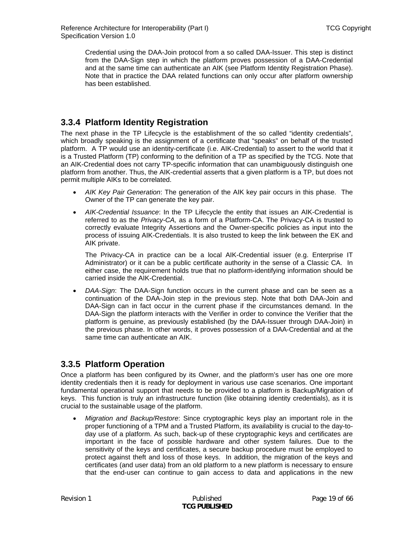<span id="page-18-0"></span>Credential using the DAA-Join protocol from a so called DAA-Issuer. This step is distinct from the DAA-Sign step in which the platform proves possession of a DAA-Credential and at the same time can authenticate an AIK (see Platform Identity Registration Phase). Note that in practice the DAA related functions can only occur after platform ownership has been established.

### **3.3.4 Platform Identity Registration**

The next phase in the TP Lifecycle is the establishment of the so called "identity credentials", which broadly speaking is the assignment of a certificate that "speaks" on behalf of the trusted platform. A TP would use an identity-certificate (i.e. AIK-Credential) to assert to the world that it is a Trusted Platform (TP) conforming to the definition of a TP as specified by the TCG. Note that an AIK-Credential does not carry TP-specific information that can unambiguously distinguish one platform from another. Thus, the AIK-credential asserts that a given platform is a TP, but does not permit multiple AIKs to be correlated.

- *AIK Key Pair Generation*: The generation of the AIK key pair occurs in this phase. The Owner of the TP can generate the key pair.
- *AIK-Credential Issuance*: In the TP Lifecycle the entity that issues an AIK-Credential is referred to as the *Privacy-CA,* as a form of a Platform-CA. The Privacy-CA is trusted to correctly evaluate Integrity Assertions and the Owner-specific policies as input into the process of issuing AIK-Credentials. It is also trusted to keep the link between the EK and AIK private.

The Privacy-CA in practice can be a local AIK-Credential issuer (e.g. Enterprise IT Administrator) or it can be a public certificate authority in the sense of a Classic CA. In either case, the requirement holds true that no platform-identifying information should be carried inside the AIK-Credential.

• *DAA-Sign*: The DAA-Sign function occurs in the current phase and can be seen as a continuation of the DAA-Join step in the previous step. Note that both DAA-Join and DAA-Sign can in fact occur in the current phase if the circumstances demand. In the DAA-Sign the platform interacts with the Verifier in order to convince the Verifier that the platform is genuine, as previously established (by the DAA-Issuer through DAA-Join) in the previous phase. In other words, it proves possession of a DAA-Credential and at the same time can authenticate an AIK.

### **3.3.5 Platform Operation**

Once a platform has been configured by its Owner, and the platform's user has one ore more identity credentials then it is ready for deployment in various use case scenarios. One important fundamental operational support that needs to be provided to a platform is Backup/Migration of keys. This function is truly an infrastructure function (like obtaining identity credentials), as it is crucial to the sustainable usage of the platform.

• *Migration and Backup/Restore*: Since cryptographic keys play an important role in the proper functioning of a TPM and a Trusted Platform, its availability is crucial to the day-today use of a platform. As such, back-up of these cryptographic keys and certificates are important in the face of possible hardware and other system failures. Due to the sensitivity of the keys and certificates, a secure backup procedure must be employed to protect against theft and loss of those keys. In addition, the migration of the keys and certificates (and user data) from an old platform to a new platform is necessary to ensure that the end-user can continue to gain access to data and applications in the new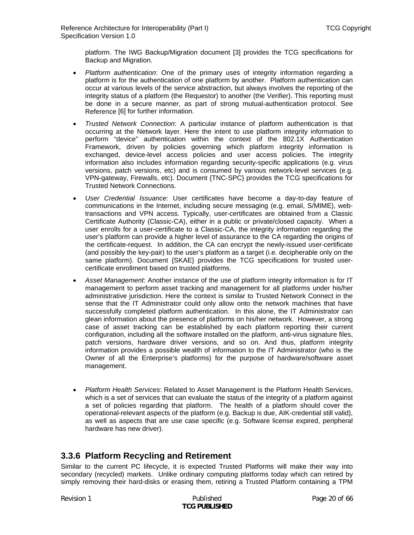<span id="page-19-0"></span>platform. The IWG Backup/Migration document [\[3\]](#page-64-5) provides the TCG specifications for Backup and Migration.

- *Platform authentication*: One of the primary uses of integrity information regarding a platform is for the authentication of one platform by another. Platform authentication can occur at various levels of the service abstraction, but always involves the reporting of the integrity status of a platform (the Requestor) to another (the Verifier). This reporting must be done in a secure manner, as part of strong mutual-authentication protocol. See Reference [\[6\]](#page-64-3) for further information.
- *Trusted Network Connection*: A particular instance of platform authentication is that occurring at the Network layer. Here the intent to use platform integrity information to perform "device" authentication within the context of the 802.1X Authentication Framework, driven by policies governing which platform integrity information is exchanged, device-level access policies and user access policies. The integrity information also includes information regarding security-specific applications (e.g. virus versions, patch versions, etc) and is consumed by various network-level services (e.g. VPN-gateway, Firewalls, etc). Document {TNC-SPC} provides the TCG specifications for Trusted Network Connections.
- *User Credential Issuance*: User certificates have become a day-to-day feature of communications in the Internet, including secure messaging (e.g. email, S/MIME), webtransactions and VPN access. Typically, user-certificates are obtained from a Classic Certificate Authority (Classic-CA), either in a public or private/closed capacity. When a user enrolls for a user-certificate to a Classic-CA, the integrity information regarding the user's platform can provide a higher level of assurance to the CA regarding the origins of the certificate-request. In addition, the CA can encrypt the newly-issued user-certificate (and possibly the key-pair) to the user's platform as a target (i.e. decipherable only on the same platform). Document {SKAE} provides the TCG specifications for trusted usercertificate enrollment based on trusted platforms.
- *Asset Management*: Another instance of the use of platform integrity information is for IT management to perform asset tracking and management for all platforms under his/her administrative jurisdiction. Here the context is similar to Trusted Network Connect in the sense that the IT Administrator could only allow onto the network machines that have successfully completed platform authentication. In this alone, the IT Administrator can glean information about the presence of platforms on his/her network. However, a strong case of asset tracking can be established by each platform reporting their current configuration, including all the software installed on the platform, anti-virus signature files, patch versions, hardware driver versions, and so on. And thus, platform integrity information provides a possible wealth of information to the IT Administrator (who is the Owner of all the Enterprise's platforms) for the purpose of hardware/software asset management.
- *Platform Health Services*: Related to Asset Management is the Platform Health Services, which is a set of services that can evaluate the status of the integrity of a platform against a set of policies regarding that platform. The health of a platform should cover the operational-relevant aspects of the platform (e.g. Backup is due, AIK-credential still valid), as well as aspects that are use case specific (e.g. Software license expired, peripheral hardware has new driver).

### **3.3.6 Platform Recycling and Retirement**

Similar to the current PC lifecycle, it is expected Trusted Platforms will make their way into secondary (recycled) markets. Unlike ordinary computing platforms today which can retired by simply removing their hard-disks or erasing them, retiring a Trusted Platform containing a TPM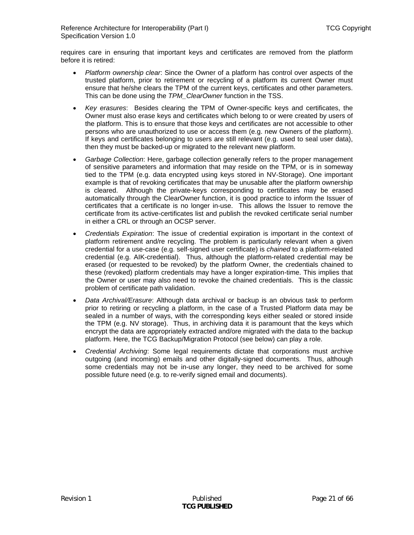requires care in ensuring that important keys and certificates are removed from the platform before it is retired:

- *Platform ownership clear*: Since the Owner of a platform has control over aspects of the trusted platform, prior to retirement or recycling of a platform its current Owner must ensure that he/she clears the TPM of the current keys, certificates and other parameters. This can be done using the *TPM\_ClearOwner* function in the TSS.
- *Key erasures*: Besides clearing the TPM of Owner-specific keys and certificates, the Owner must also erase keys and certificates which belong to or were created by users of the platform. This is to ensure that those keys and certificates are not accessible to other persons who are unauthorized to use or access them (e.g. new Owners of the platform). If keys and certificates belonging to users are still relevant (e.g. used to seal user data), then they must be backed-up or migrated to the relevant new platform.
- *Garbage Collection*: Here, garbage collection generally refers to the proper management of sensitive parameters and information that may reside on the TPM, or is in someway tied to the TPM (e.g. data encrypted using keys stored in NV-Storage). One important example is that of revoking certificates that may be unusable after the platform ownership is cleared. Although the private-keys corresponding to certificates may be erased automatically through the ClearOwner function, it is good practice to inform the Issuer of certificates that a certificate is no longer in-use. This allows the Issuer to remove the certificate from its active-certificates list and publish the revoked certificate serial number in either a CRL or through an OCSP server.
- *Credentials Expiration*: The issue of credential expiration is important in the context of platform retirement and/re recycling. The problem is particularly relevant when a given credential for a use-case (e.g. self-signed user certificate) is *chained* to a platform-related credential (e.g. AIK-credential). Thus, although the platform-related credential may be erased (or requested to be revoked) by the platform Owner, the credentials chained to these (revoked) platform credentials may have a longer expiration-time. This implies that the Owner or user may also need to revoke the chained credentials. This is the classic problem of certificate path validation.
- *Data Archival/Erasure*: Although data archival or backup is an obvious task to perform prior to retiring or recycling a platform, in the case of a Trusted Platform data may be sealed in a number of ways, with the corresponding keys either sealed or stored inside the TPM (e.g. NV storage). Thus, in archiving data it is paramount that the keys which encrypt the data are appropriately extracted and/ore migrated with the data to the backup platform. Here, the TCG Backup/Migration Protocol (see below) can play a role.
- *Credential Archiving*: Some legal requirements dictate that corporations must archive outgoing (and incoming) emails and other digitally-signed documents. Thus, although some credentials may not be in-use any longer, they need to be archived for some possible future need (e.g. to re-verify signed email and documents).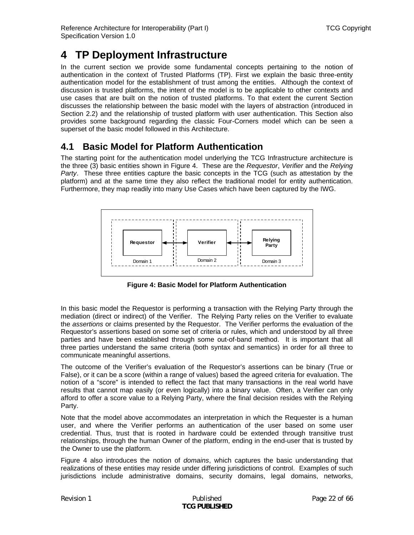<span id="page-21-3"></span><span id="page-21-0"></span>In the current section we provide some fundamental concepts pertaining to the notion of authentication in the context of Trusted Platforms (TP). First we explain the basic three-entity authentication model for the establishment of trust among the entities. Although the context of discussion is trusted platforms, the intent of the model is to be applicable to other contexts and use cases that are built on the notion of trusted platforms. To that extent the current Section discusses the relationship between the basic model with the layers of abstraction (introduced in Section [2.2](#page-9-2)) and the relationship of trusted platform with user authentication. This Section also provides some background regarding the classic Four-Corners model which can be seen a superset of the basic model followed in this Architecture.

### <span id="page-21-2"></span>**4.1 Basic Model for Platform Authentication**

The starting point for the authentication model underlying the TCG Infrastructure architecture is the three (3) basic entities shown in [Figure 4.](#page-21-1) These are the *Requestor*, *Verifier* and the *Relying Party*. These three entities capture the basic concepts in the TCG (such as attestation by the platform) and at the same time they also reflect the traditional model for entity authentication. Furthermore, they map readily into many Use Cases which have been captured by the IWG.



**Figure 4: Basic Model for Platform Authentication** 

<span id="page-21-1"></span>In this basic model the Requestor is performing a transaction with the Relying Party through the mediation (direct or indirect) of the Verifier. The Relying Party relies on the Verifier to evaluate the *assertions* or claims presented by the Requestor. The Verifier performs the evaluation of the Requestor's assertions based on some set of criteria or rules, which and understood by all three parties and have been established through some out-of-band method. It is important that all three parties understand the same criteria (both syntax and semantics) in order for all three to communicate meaningful assertions.

The outcome of the Verifier's evaluation of the Requestor's assertions can be binary (True or False), or it can be a score (within a range of values) based the agreed criteria for evaluation. The notion of a "score" is intended to reflect the fact that many transactions in the real world have results that cannot map easily (or even logically) into a binary value. Often, a Verifier can only afford to offer a score value to a Relying Party, where the final decision resides with the Relying Party.

Note that the model above accommodates an interpretation in which the Requester is a human user, and where the Verifier performs an authentication of the user based on some user credential. Thus, trust that is rooted in hardware could be extended through transitive trust relationships, through the human Owner of the platform, ending in the end-user that is trusted by the Owner to use the platform.

[Figure 4](#page-21-1) also introduces the notion of *domains*, which captures the basic understanding that realizations of these entities may reside under differing jurisdictions of control. Examples of such jurisdictions include administrative domains, security domains, legal domains, networks,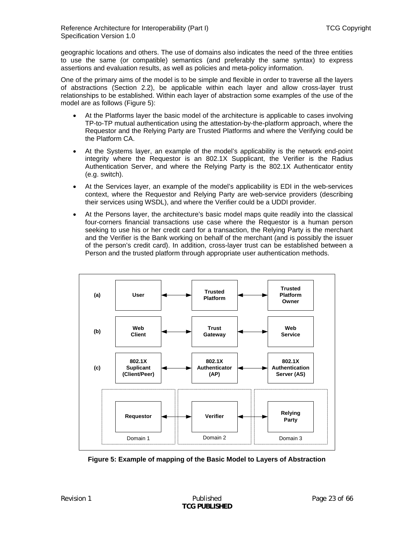geographic locations and others. The use of domains also indicates the need of the three entities to use the same (or compatible) semantics (and preferably the same syntax) to express assertions and evaluation results, as well as policies and meta-policy information.

One of the primary aims of the model is to be simple and flexible in order to traverse all the layers of abstractions (Section [2.2\)](#page-9-2), be applicable within each layer and allow cross-layer trust relationships to be established. Within each layer of abstraction some examples of the use of the model are as follows [\(Figure 5\)](#page-22-0):

- At the Platforms layer the basic model of the architecture is applicable to cases involving TP-to-TP mutual authentication using the attestation-by-the-platform approach, where the Requestor and the Relying Party are Trusted Platforms and where the Verifying could be the Platform CA.
- At the Systems layer, an example of the model's applicability is the network end-point integrity where the Requestor is an 802.1X Supplicant, the Verifier is the Radius Authentication Server, and where the Relying Party is the 802.1X Authenticator entity (e.g. switch).
- At the Services layer, an example of the model's applicability is EDI in the web-services context, where the Requestor and Relying Party are web-service providers (describing their services using WSDL), and where the Verifier could be a UDDI provider.
- At the Persons layer, the architecture's basic model maps quite readily into the classical four-corners financial transactions use case where the Requestor is a human person seeking to use his or her credit card for a transaction, the Relying Party is the merchant and the Verifier is the Bank working on behalf of the merchant (and is possibly the issuer of the person's credit card). In addition, cross-layer trust can be established between a Person and the trusted platform through appropriate user authentication methods.



<span id="page-22-0"></span>**Figure 5: Example of mapping of the Basic Model to Layers of Abstraction**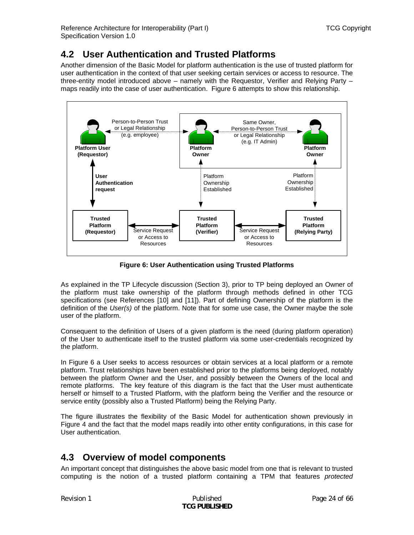# <span id="page-23-0"></span>**4.2 User Authentication and Trusted Platforms**

Another dimension of the Basic Model for platform authentication is the use of trusted platform for user authentication in the context of that user seeking certain services or access to resource. The three-entity model introduced above – namely with the Requestor, Verifier and Relying Party – maps readily into the case of user authentication. [Figure 6](#page-23-1) attempts to show this relationship.



**Figure 6: User Authentication using Trusted Platforms** 

<span id="page-23-1"></span>As explained in the TP Lifecycle discussion (Section [3\)](#page-13-2), prior to TP being deployed an Owner of the platform must take ownership of the platform through methods defined in other TCG specifications (see References [\[10\]](#page-64-7) and [\[11\]\)](#page-64-8). Part of defining Ownership of the platform is the definition of the *User(s)* of the platform. Note that for some use case, the Owner maybe the sole user of the platform.

Consequent to the definition of Users of a given platform is the need (during platform operation) of the User to authenticate itself to the trusted platform via some user-credentials recognized by the platform.

In [Figure 6](#page-23-1) a User seeks to access resources or obtain services at a local platform or a remote platform. Trust relationships have been established prior to the platforms being deployed, notably between the platform Owner and the User, and possibly between the Owners of the local and remote platforms. The key feature of this diagram is the fact that the User must authenticate herself or himself to a Trusted Platform, with the platform being the Verifier and the resource or service entity (possibly also a Trusted Platform) being the Relying Party.

The figure illustrates the flexibility of the Basic Model for authentication shown previously in [Figure 4](#page-21-1) and the fact that the model maps readily into other entity configurations, in this case for User authentication.

# **4.3 Overview of model components**

An important concept that distinguishes the above basic model from one that is relevant to trusted computing is the notion of a trusted platform containing a TPM that features *protected*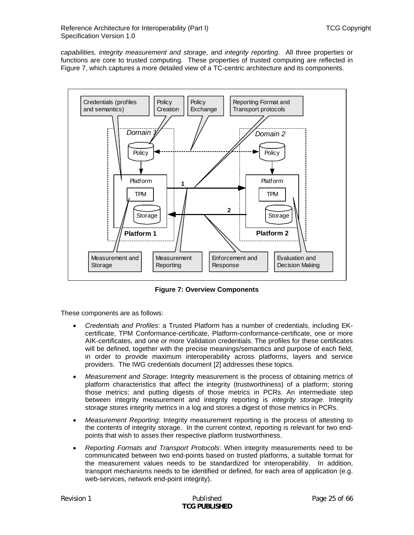*capabilities, integrity measurement and storage*, and *integrity reporting*. All three properties or functions are core to trusted computing. These properties of trusted computing are reflected in [Figure 7,](#page-24-0) which captures a more detailed view of a TC-centric architecture and its components.



**Figure 7: Overview Components** 

<span id="page-24-0"></span>These components are as follows:

- *Credentials and Profiles*: a Trusted Platform has a number of credentials, including EKcertificate, TPM Conformance-certificate, Platform-conformance-certificate, one or more AIK-certificates, and one or more Validation credentials. The profiles for these certificates will be defined, together with the precise meanings/semantics and purpose of each field, in order to provide maximum interoperability across platforms, layers and service providers. The IWG credentials document [\[2\]](#page-64-2) addresses these topics.
- *Measurement and Storage*: Integrity measurement is the process of obtaining metrics of platform characteristics that affect the integrity (trustworthiness) of a platform; storing those metrics; and putting digests of those metrics in PCRs. An intermediate step between integrity measurement and integrity reporting is *integrity storage*. Integrity storage stores integrity metrics in a log and stores a digest of those metrics in PCRs.
- *Measurement Reporting*: Integrity measurement reporting is the process of attesting to the contents of integrity storage. In the current context, reporting is relevant for two endpoints that wish to asses their respective platform trustworthiness.
- *Reporting Formats and Transport Protocols*: When integrity measurements need to be communicated between two end-points based on trusted platforms, a suitable format for the measurement values needs to be standardized for interoperability. In addition, transport mechanisms needs to be identified or defined, for each area of application (e.g. web-services, network end-point integrity).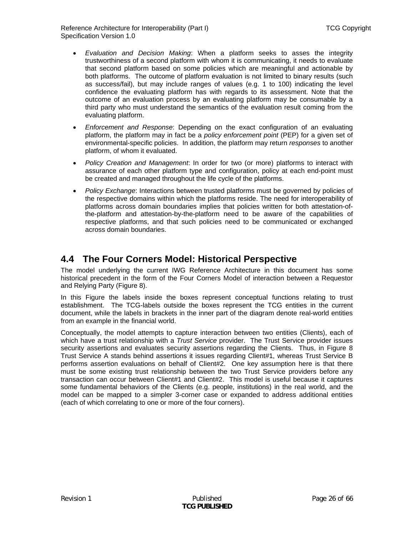<span id="page-25-0"></span>Reference Architecture for Interoperability (Part I) TCG Copyright Specification Version 1.0

- *Evaluation and Decision Making*: When a platform seeks to asses the integrity trustworthiness of a second platform with whom it is communicating, it needs to evaluate that second platform based on some policies which are meaningful and actionable by both platforms. The outcome of platform evaluation is not limited to binary results (such as success/fail), but may include ranges of values (e.g. 1 to 100) indicating the level confidence the evaluating platform has with regards to its assessment. Note that the outcome of an evaluation process by an evaluating platform may be consumable by a third party who must understand the semantics of the evaluation result coming from the evaluating platform.
- *Enforcement and Response*: Depending on the exact configuration of an evaluating platform, the platform may in fact be a *policy enforcement point* (PEP) for a given set of environmental-specific policies. In addition, the platform may return *responses* to another platform, of whom it evaluated.
- *Policy Creation and Management*: In order for two (or more) platforms to interact with assurance of each other platform type and configuration, policy at each end-point must be created and managed throughout the life cycle of the platforms.
- *Policy Exchange*: Interactions between trusted platforms must be governed by policies of the respective domains within which the platforms reside. The need for interoperability of platforms across domain boundaries implies that policies written for both attestation-ofthe-platform and attestation-by-the-platform need to be aware of the capabilities of respective platforms, and that such policies need to be communicated or exchanged across domain boundaries.

## **4.4 The Four Corners Model: Historical Perspective**

The model underlying the current IWG Reference Architecture in this document has some historical precedent in the form of the Four Corners Model of interaction between a Requestor and Relying Party ([Figure 8\)](#page-26-0).

In this Figure the labels inside the boxes represent conceptual functions relating to trust establishment. The TCG-labels outside the boxes represent the TCG entities in the current document, while the labels in brackets in the inner part of the diagram denote real-world entities from an example in the financial world.

Conceptually, the model attempts to capture interaction between two entities (Clients), each of which have a trust relationship with a *Trust Service* provider. The Trust Service provider issues security assertions and evaluates security assertions regarding the Clients. Thus, in [Figure 8](#page-26-0) Trust Service A stands behind assertions it issues regarding Client#1, whereas Trust Service B performs assertion evaluations on behalf of Client#2. One key assumption here is that there must be some existing trust relationship between the two Trust Service providers before any transaction can occur between Client#1 and Client#2. This model is useful because it captures some fundamental behaviors of the Clients (e.g. people, institutions) in the real world, and the model can be mapped to a simpler 3-corner case or expanded to address additional entities (each of which correlating to one or more of the four corners).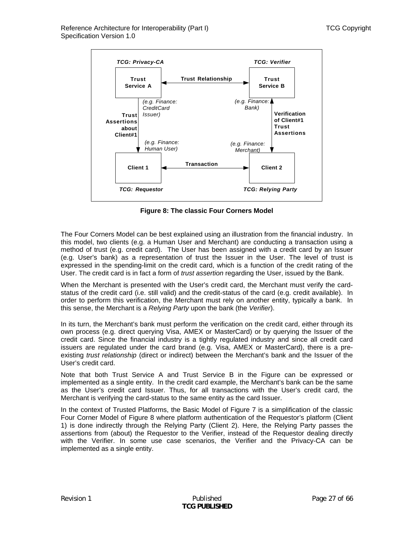

**Figure 8: The classic Four Corners Model** 

<span id="page-26-0"></span>The Four Corners Model can be best explained using an illustration from the financial industry. In this model, two clients (e.g. a Human User and Merchant) are conducting a transaction using a method of trust (e.g. credit card). The User has been assigned with a credit card by an Issuer (e.g. User's bank) as a representation of trust the Issuer in the User. The level of trust is expressed in the spending-limit on the credit card, which is a function of the credit rating of the User. The credit card is in fact a form of *trust assertion* regarding the User, issued by the Bank.

When the Merchant is presented with the User's credit card, the Merchant must verify the cardstatus of the credit card (i.e. still valid) and the credit-status of the card (e.g. credit available). In order to perform this verification, the Merchant must rely on another entity, typically a bank. In this sense, the Merchant is a *Relying Party* upon the bank (the *Verifier*).

In its turn, the Merchant's bank must perform the verification on the credit card, either through its own process (e.g. direct querying Visa, AMEX or MasterCard) or by querying the Issuer of the credit card. Since the financial industry is a tightly regulated industry and since all credit card issuers are regulated under the card brand (e.g. Visa, AMEX or MasterCard), there is a preexisting *trust relationship* (direct or indirect) between the Merchant's bank and the Issuer of the User's credit card.

Note that both Trust Service A and Trust Service B in the Figure can be expressed or implemented as a single entity. In the credit card example, the Merchant's bank can be the same as the User's credit card Issuer. Thus, for all transactions with the User's credit card, the Merchant is verifying the card-status to the same entity as the card Issuer.

In the context of Trusted Platforms, the Basic Model of [Figure 7](#page-24-0) is a simplification of the classic Four Corner Model of [Figure 8](#page-26-0) where platform authentication of the Requestor's platform (Client 1) is done indirectly through the Relying Party (Client 2). Here, the Relying Party passes the assertions from (about) the Requestor to the Verifier, instead of the Requestor dealing directly with the Verifier. In some use case scenarios, the Verifier and the Privacy-CA can be implemented as a single entity.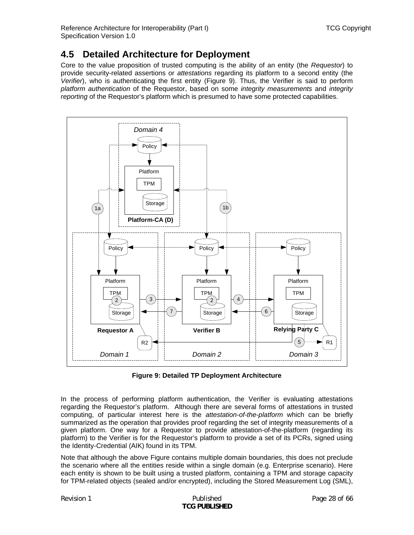## <span id="page-27-0"></span>**4.5 Detailed Architecture for Deployment**

Core to the value proposition of trusted computing is the ability of an entity (the *Requestor*) to provide security-related assertions or *attestations* regarding its platform to a second entity (the *Verifier*), who is authenticating the first entity ([Figure 9](#page-27-1)). Thus, the Verifier is said to perform *platform authentication* of the Requestor, based on some *integrity measurements* and *integrity reporting* of the Requestor's platform which is presumed to have some protected capabilities.



**Figure 9: Detailed TP Deployment Architecture** 

<span id="page-27-1"></span>In the process of performing platform authentication, the Verifier is evaluating attestations regarding the Requestor's platform. Although there are several forms of attestations in trusted computing, of particular interest here is the *attestation-of-the-platform* which can be briefly summarized as the operation that provides proof regarding the set of integrity measurements of a given platform. One way for a Requestor to provide attestation-of-the-platform (regarding its platform) to the Verifier is for the Requestor's platform to provide a set of its PCRs, signed using the Identity-Credential (AIK) found in its TPM.

Note that although the above Figure contains multiple domain boundaries, this does not preclude the scenario where all the entities reside within a single domain (e.g. Enterprise scenario). Here each entity is shown to be built using a trusted platform, containing a TPM and storage capacity for TPM-related objects (sealed and/or encrypted), including the Stored Measurement Log (SML),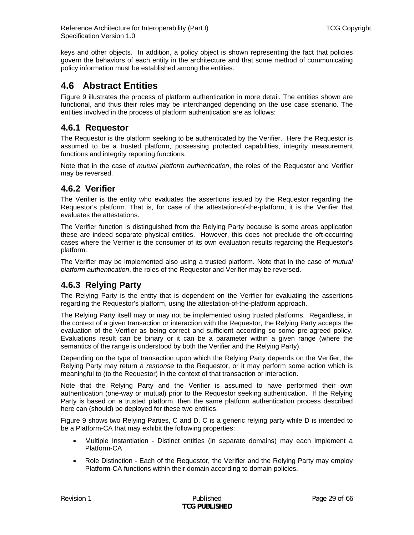<span id="page-28-0"></span>keys and other objects. In addition, a policy object is shown representing the fact that policies govern the behaviors of each entity in the architecture and that some method of communicating policy information must be established among the entities.

# **4.6 Abstract Entities**

[Figure 9](#page-27-1) illustrates the process of platform authentication in more detail. The entities shown are functional, and thus their roles may be interchanged depending on the use case scenario. The entities involved in the process of platform authentication are as follows:

### **4.6.1 Requestor**

The Requestor is the platform seeking to be authenticated by the Verifier. Here the Requestor is assumed to be a trusted platform, possessing protected capabilities, integrity measurement functions and integrity reporting functions.

Note that in the case of *mutual platform authentication*, the roles of the Requestor and Verifier may be reversed.

### **4.6.2 Verifier**

The Verifier is the entity who evaluates the assertions issued by the Requestor regarding the Requestor's platform. That is, for case of the attestation-of-the-platform, it is the Verifier that evaluates the attestations.

The Verifier function is distinguished from the Relying Party because is some areas application these are indeed separate physical entities. However, this does not preclude the oft-occurring cases where the Verifier is the consumer of its own evaluation results regarding the Requestor's platform.

The Verifier may be implemented also using a trusted platform. Note that in the case of *mutual platform authentication*, the roles of the Requestor and Verifier may be reversed.

### **4.6.3 Relying Party**

The Relying Party is the entity that is dependent on the Verifier for evaluating the assertions regarding the Requestor's platform, using the attestation-of-the-platform approach.

The Relying Party itself may or may not be implemented using trusted platforms. Regardless, in the context of a given transaction or interaction with the Requestor, the Relying Party accepts the evaluation of the Verifier as being correct and sufficient according so some pre-agreed policy. Evaluations result can be binary or it can be a parameter within a given range (where the semantics of the range is understood by both the Verifier and the Relying Party).

Depending on the type of transaction upon which the Relying Party depends on the Verifier, the Relying Party may return a *response* to the Requestor, or it may perform some action which is meaningful to (to the Requestor) in the context of that transaction or interaction.

Note that the Relying Party and the Verifier is assumed to have performed their own authentication (one-way or mutual) prior to the Requestor seeking authentication. If the Relying Party is based on a trusted platform, then the same platform authentication process described here can (should) be deployed for these two entities.

[Figure 9](#page-27-1) shows two Relying Parties, C and D. C is a generic relying party while D is intended to be a Platform-CA that may exhibit the following properties:

- Multiple Instantiation Distinct entities (in separate domains) may each implement a Platform-CA
- Role Distinction Each of the Requestor, the Verifier and the Relying Party may employ Platform-CA functions within their domain according to domain policies.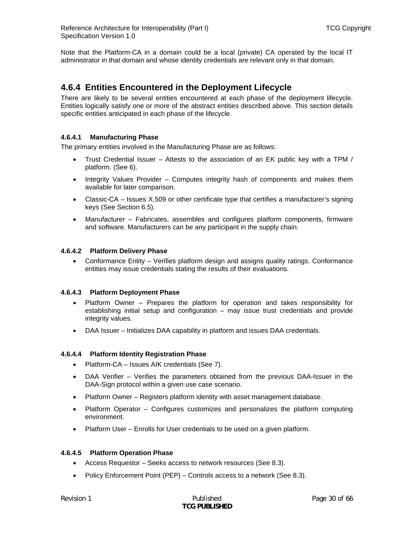<span id="page-29-0"></span>Note that the Platform-CA in a domain could be a local (private) CA operated by the local IT administrator in that domain and whose identity credentials are relevant only in that domain.

### **4.6.4 Entities Encountered in the Deployment Lifecycle**

There are likely to be several entities encountered at each phase of the deployment lifecycle. Entities logically satisfy one or more of the abstract entities described above. This section details specific entities anticipated in each phase of the lifecycle.

### **4.6.4.1 Manufacturing Phase**

The primary entities involved in the Manufacturing Phase are as follows:

- Trust Credential Issuer Attests to the association of an EK public key with a TPM / platform. (See [6](#page-36-1)).
- Integrity Values Provider Computes integrity hash of components and makes them available for later comparison.
- Classic-CA Issues X.509 or other certificate type that certifies a manufacturer's signing keys (See Section [6.5](#page-40-1)).
- Manufacturer Fabricates, assembles and configures platform components, firmware and software. Manufacturers can be any participant in the supply chain.

### **4.6.4.2 Platform Delivery Phase**

• Conformance Entity – Verifies platform design and assigns quality ratings. Conformance entities may issue credentials stating the results of their evaluations.

#### **4.6.4.3 Platform Deployment Phase**

- Platform Owner Prepares the platform for operation and takes responsibility for establishing initial setup and configuration – may issue trust credentials and provide integrity values.
- DAA Issuer Initializes DAA capability in platform and issues DAA credentials.

#### **4.6.4.4 Platform Identity Registration Phase**

- Platform-CA Issues AIK credentials (See [7\)](#page-44-1).
- DAA Verifier Verifies the parameters obtained from the previous DAA-Issuer in the DAA-Sign protocol within a given use case scenario.
- Platform Owner Registers platform identity with asset management database.
- Platform Operator Configures customizes and personalizes the platform computing environment.
- Platform User Enrolls for User credentials to be used on a given platform.

#### **4.6.4.5 Platform Operation Phase**

- Access Requestor Seeks access to network resources (See [8.3](#page-50-1)).
- Policy Enforcement Point (PEP) Controls access to a network (See [8.3](#page-50-1)).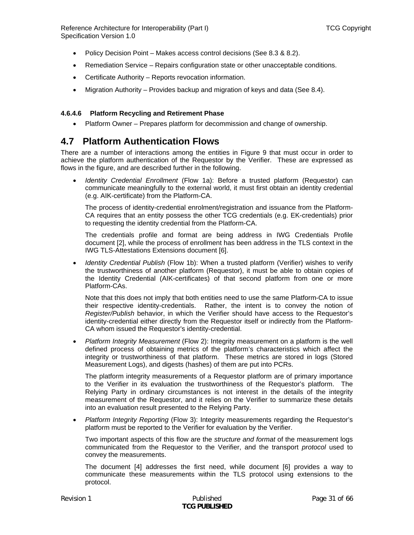<span id="page-30-0"></span>Reference Architecture for Interoperability (Part I) TCG Copyright Specification Version 1.0

- Policy Decision Point Makes access control decisions (See [8.3](#page-50-1) & [8.2\)](#page-49-1).
- Remediation Service Repairs configuration state or other unacceptable conditions.
- Certificate Authority Reports revocation information.
- Migration Authority Provides backup and migration of keys and data (See [8.4](#page-53-1)).

#### **4.6.4.6 Platform Recycling and Retirement Phase**

• Platform Owner – Prepares platform for decommission and change of ownership.

### <span id="page-30-1"></span>**4.7 Platform Authentication Flows**

There are a number of interactions among the entities in [Figure 9](#page-27-1) that must occur in order to achieve the platform authentication of the Requestor by the Verifier. These are expressed as flows in the figure, and are described further in the following.

• *Identity Credential Enrollment* (Flow 1a): Before a trusted platform (Requestor) can communicate meaningfully to the external world, it must first obtain an identity credential (e.g. AIK-certificate) from the Platform-CA.

The process of identity-credential enrolment/registration and issuance from the Platform-CA requires that an entity possess the other TCG credentials (e.g. EK-credentials) prior to requesting the identity credential from the Platform-CA.

The credentials profile and format are being address in IWG Credentials Profile document [\[2\],](#page-64-2) while the process of enrollment has been address in the TLS context in the IWG TLS-Attestations Extensions document [\[6\].](#page-64-3)

• *Identity Credential Publish* (Flow 1b): When a trusted platform (Verifier) wishes to verify the trustworthiness of another platform (Requestor), it must be able to obtain copies of the Identity Credential (AIK-certificates) of that second platform from one or more Platform-CAs.

Note that this does not imply that both entities need to use the same Platform-CA to issue their respective identity-credentials. Rather, the intent is to convey the notion of *Register/Publish* behavior, in which the Verifier should have access to the Requestor's identity-credential either directly from the Requestor itself or indirectly from the Platform-CA whom issued the Requestor's identity-credential.

• *Platform Integrity Measurement* (Flow 2): Integrity measurement on a platform is the well defined process of obtaining metrics of the platform's characteristics which affect the integrity or trustworthiness of that platform. These metrics are stored in logs (Stored Measurement Logs), and digests (hashes) of them are put into PCRs.

The platform integrity measurements of a Requestor platform are of primary importance to the Verifier in its evaluation the trustworthiness of the Requestor's platform. The Relying Party in ordinary circumstances is not interest in the details of the integrity measurement of the Requestor, and it relies on the Verifier to summarize these details into an evaluation result presented to the Relying Party.

• *Platform Integrity Reporting* (Flow 3): Integrity measurements regarding the Requestor's platform must be reported to the Verifier for evaluation by the Verifier.

Two important aspects of this flow are the *structure and format* of the measurement logs communicated from the Requestor to the Verifier, and the transport *protocol* used to convey the measurements.

The document [\[4\]](#page-64-4) addresses the first need, while document [\[6\]](#page-64-3) provides a way to communicate these measurements within the TLS protocol using extensions to the protocol.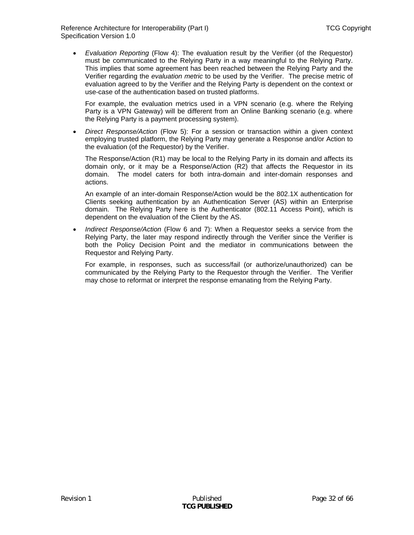• *Evaluation Reporting* (Flow 4): The evaluation result by the Verifier (of the Requestor) must be communicated to the Relying Party in a way meaningful to the Relying Party. This implies that some agreement has been reached between the Relying Party and the Verifier regarding the *evaluation metric* to be used by the Verifier. The precise metric of evaluation agreed to by the Verifier and the Relying Party is dependent on the context or use-case of the authentication based on trusted platforms.

For example, the evaluation metrics used in a VPN scenario (e.g. where the Relying Party is a VPN Gateway) will be different from an Online Banking scenario (e.g. where the Relying Party is a payment processing system).

• *Direct Response/Action* (Flow 5): For a session or transaction within a given context employing trusted platform, the Relying Party may generate a Response and/or Action to the evaluation (of the Requestor) by the Verifier.

The Response/Action (R1) may be local to the Relying Party in its domain and affects its domain only, or it may be a Response/Action (R2) that affects the Requestor in its domain. The model caters for both intra-domain and inter-domain responses and actions.

An example of an inter-domain Response/Action would be the 802.1X authentication for Clients seeking authentication by an Authentication Server (AS) within an Enterprise domain. The Relying Party here is the Authenticator (802.11 Access Point), which is dependent on the evaluation of the Client by the AS.

• *Indirect Response/Action* (Flow 6 and 7): When a Requestor seeks a service from the Relying Party, the later may respond indirectly through the Verifier since the Verifier is both the Policy Decision Point and the mediator in communications between the Requestor and Relying Party.

For example, in responses, such as success/fail (or authorize/unauthorized) can be communicated by the Relying Party to the Requestor through the Verifier. The Verifier may chose to reformat or interpret the response emanating from the Relying Party.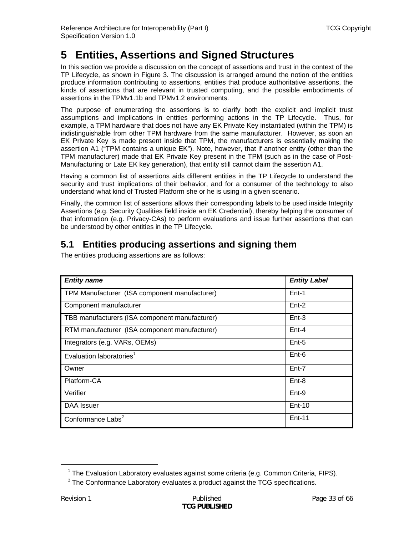# <span id="page-32-0"></span>**5 Entities, Assertions and Signed Structures**

In this section we provide a discussion on the concept of assertions and trust in the context of the TP Lifecycle, as shown in [Figure 3.](#page-13-1) The discussion is arranged around the notion of the entities produce information contributing to assertions, entities that produce authoritative assertions, the kinds of assertions that are relevant in trusted computing, and the possible embodiments of assertions in the TPMv1.1b and TPMv1.2 environments.

The purpose of enumerating the assertions is to clarify both the explicit and implicit trust assumptions and implications in entities performing actions in the TP Lifecycle. Thus, for example, a TPM hardware that does not have any EK Private Key instantiated (within the TPM) is indistinguishable from other TPM hardware from the same manufacturer. However, as soon an EK Private Key is made present inside that TPM, the manufacturers is essentially making the assertion A1 ("TPM contains a unique EK"). Note, however, that if another entity (other than the TPM manufacturer) made that EK Private Key present in the TPM (such as in the case of Post-Manufacturing or Late EK key generation), that entity still cannot claim the assertion A1.

Having a common list of assertions aids different entities in the TP Lifecycle to understand the security and trust implications of their behavior, and for a consumer of the technology to also understand what kind of Trusted Platform she or he is using in a given scenario.

Finally, the common list of assertions allows their corresponding labels to be used inside Integrity Assertions (e.g. Security Qualities field inside an EK Credential), thereby helping the consumer of that information (e.g. Privacy-CAs) to perform evaluations and issue further assertions that can be understood by other entities in the TP Lifecycle.

# **5.1 Entities producing assertions and signing them**

| <b>Entity name</b>                             | <b>Entity Label</b> |
|------------------------------------------------|---------------------|
| TPM Manufacturer (ISA component manufacturer)  | $Ent-1$             |
| Component manufacturer                         | $Ent-2$             |
| TBB manufacturers (ISA component manufacturer) | $Ent-3$             |
| RTM manufacturer (ISA component manufacturer)  | $Ent-4$             |
| Integrators (e.g. VARs, OEMs)                  | $Ent-5$             |
| Evaluation laboratories $1$                    | $Ent-6$             |
| Owner                                          | $Ent-7$             |
| Platform-CA                                    | $Ent-8$             |
| Verifier                                       | Ent-9               |
| DAA Issuer                                     | $Ent-10$            |
| Conformance Labs <sup>2</sup>                  | $Ent-11$            |

The entities producing assertions are as follows:

<span id="page-32-2"></span><span id="page-32-1"></span>l

<sup>&</sup>lt;sup>1</sup> The Evaluation Laboratory evaluates against some criteria (e.g. Common Criteria, FIPS).

 $2$  The Conformance Laboratory evaluates a product against the TCG specifications.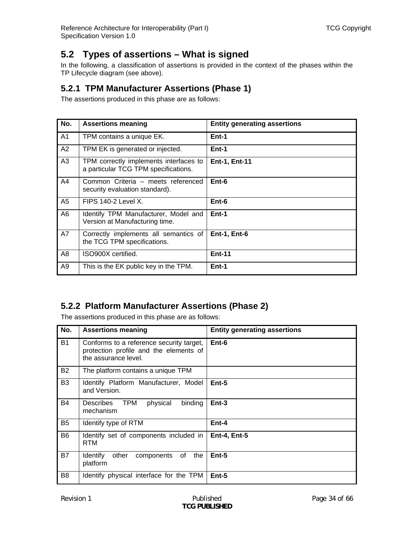## <span id="page-33-0"></span>**5.2 Types of assertions – What is signed**

In the following, a classification of assertions is provided in the context of the phases within the TP Lifecycle diagram (see above).

### <span id="page-33-1"></span>**5.2.1 TPM Manufacturer Assertions (Phase 1)**

The assertions produced in this phase are as follows:

| No.            | <b>Assertions meaning</b>                                                      | <b>Entity generating assertions</b> |
|----------------|--------------------------------------------------------------------------------|-------------------------------------|
| A1             | TPM contains a unique EK.                                                      | Ent-1                               |
| A2             | TPM EK is generated or injected.                                               | Ent-1                               |
| A <sub>3</sub> | TPM correctly implements interfaces to<br>a particular TCG TPM specifications. | <b>Ent-1, Ent-11</b>                |
| A4             | Common Criteria - meets referenced<br>security evaluation standard).           | Ent-6                               |
| A5             | <b>FIPS 140-2 Level X.</b>                                                     | Ent-6                               |
| A6             | Identify TPM Manufacturer, Model and<br>Version at Manufacturing time.         | Ent-1                               |
| A7             | Correctly implements all semantics of<br>the TCG TPM specifications.           | <b>Ent-1, Ent-6</b>                 |
| A8             | ISO900X certified.                                                             | <b>Ent-11</b>                       |
| A9             | This is the EK public key in the TPM.                                          | Ent-1                               |

## **5.2.2 Platform Manufacturer Assertions (Phase 2)**

The assertions produced in this phase are as follows:

| No.            | <b>Assertions meaning</b>                                                                                  | <b>Entity generating assertions</b> |
|----------------|------------------------------------------------------------------------------------------------------------|-------------------------------------|
| <b>B1</b>      | Conforms to a reference security target,<br>protection profile and the elements of<br>the assurance level. | $Ent-6$                             |
| <b>B2</b>      | The platform contains a unique TPM                                                                         |                                     |
| B <sub>3</sub> | Identify Platform Manufacturer, Model<br>and Version.                                                      | $Ent-5$                             |
| <b>B4</b>      | <b>TPM</b><br>binding<br><b>Describes</b><br>physical<br>mechanism                                         | $Ent-3$                             |
| B <sub>5</sub> | Identify type of RTM                                                                                       | $Ent-4$                             |
| B <sub>6</sub> | Identify set of components included in<br>RTM                                                              | <b>Ent-4, Ent-5</b>                 |
| <b>B7</b>      | Identify<br>other<br>components<br>of<br>the<br>platform                                                   | $Ent-5$                             |
| B <sub>8</sub> | Identify physical interface for the TPM                                                                    | $Ent-5$                             |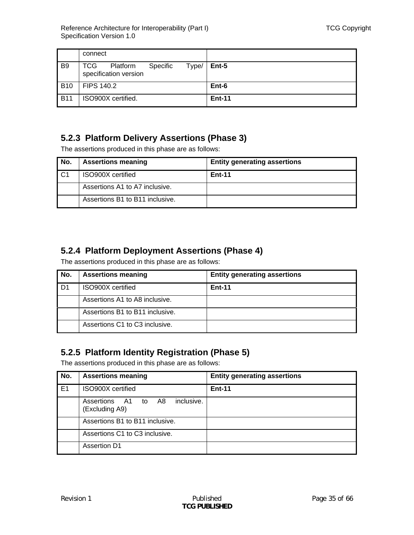<span id="page-34-0"></span>

|                | connect                                                    |               |
|----------------|------------------------------------------------------------|---------------|
| B <sub>9</sub> | TCG Platform<br>Specific<br>Type/<br>specification version | l Ent-5       |
| <b>B10</b>     | <b>FIPS 140.2</b>                                          | Ent-6         |
| <b>B11</b>     | ISO900X certified.                                         | <b>Ent-11</b> |

## **5.2.3 Platform Delivery Assertions (Phase 3)**

The assertions produced in this phase are as follows:

| No.            | <b>Assertions meaning</b>       | <b>Entity generating assertions</b> |
|----------------|---------------------------------|-------------------------------------|
| C <sub>1</sub> | ISO900X certified               | <b>Ent-11</b>                       |
|                | Assertions A1 to A7 inclusive.  |                                     |
|                | Assertions B1 to B11 inclusive. |                                     |

## **5.2.4 Platform Deployment Assertions (Phase 4)**

The assertions produced in this phase are as follows:

| No. | <b>Assertions meaning</b>       | <b>Entity generating assertions</b> |
|-----|---------------------------------|-------------------------------------|
| D1  | ISO900X certified               | <b>Ent-11</b>                       |
|     | Assertions A1 to A8 inclusive.  |                                     |
|     | Assertions B1 to B11 inclusive. |                                     |
|     | Assertions C1 to C3 inclusive.  |                                     |

## <span id="page-34-1"></span>**5.2.5 Platform Identity Registration (Phase 5)**

The assertions produced in this phase are as follows:

| No. | <b>Assertions meaning</b>                           | <b>Entity generating assertions</b> |
|-----|-----------------------------------------------------|-------------------------------------|
| E1  | <b>ISO900X</b> certified                            | <b>Ent-11</b>                       |
|     | inclusive.<br>Assertions A1 to A8<br>(Excluding A9) |                                     |
|     | Assertions B1 to B11 inclusive.                     |                                     |
|     | Assertions C1 to C3 inclusive.                      |                                     |
|     | <b>Assertion D1</b>                                 |                                     |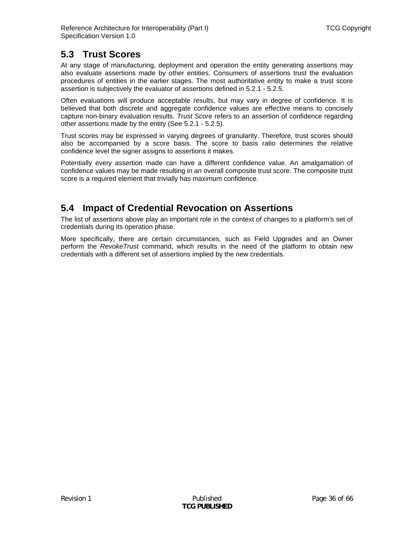## <span id="page-35-0"></span>**5.3 Trust Scores**

At any stage of manufacturing, deployment and operation the entity generating assertions may also evaluate assertions made by other entities. Consumers of assertions trust the evaluation procedures of entities in the earlier stages. The most authoritative entity to make a trust score assertion is subjectively the evaluator of assertions defined in [5.2.1](#page-33-1) - [5.2.5](#page-34-1).

Often evaluations will produce acceptable results, but may vary in degree of confidence. It is believed that both discrete and aggregate confidence values are effective means to concisely capture non-binary evaluation results. *Trust Score* refers to an assertion of confidence regarding other assertions made by the entity (See [5.2.1](#page-33-1) - [5.2.5\)](#page-34-1).

Trust scores may be expressed in varying degrees of granularity. Therefore, trust scores should also be accompanied by a score basis. The score to basis ratio determines the relative confidence level the signer assigns to assertions it makes.

Potentially every assertion made can have a different confidence value. An amalgamation of confidence values may be made resulting in an overall composite trust score. The composite trust score is a required element that trivially has maximum confidence.

## **5.4 Impact of Credential Revocation on Assertions**

The list of assertions above play an important role in the context of changes to a platform's set of credentials during its operation phase.

More specifically, there are certain circumstances, such as Field Upgrades and an Owner perform the *RevokeTrust* command, which results in the need of the platform to obtain new credentials with a different set of assertions implied by the new credentials.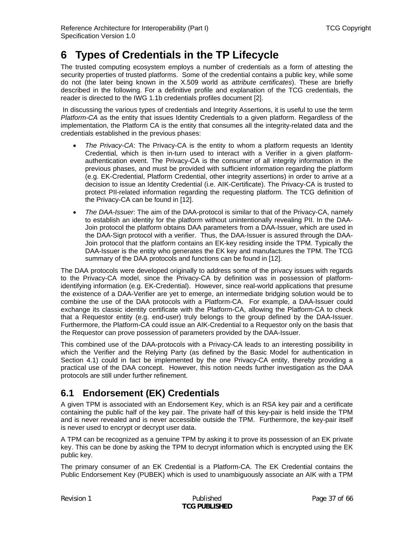# <span id="page-36-1"></span><span id="page-36-0"></span>**6 Types of Credentials in the TP Lifecycle**

The trusted computing ecosystem employs a number of credentials as a form of attesting the security properties of trusted platforms. Some of the credential contains a public key, while some do not (the later being known in the X.509 world as *attribute certificates*). These are briefly described in the following. For a definitive profile and explanation of the TCG credentials, the reader is directed to the IWG 1.1b credentials profiles document [\[2\].](#page-64-2)

 In discussing the various types of credentials and Integrity Assertions, it is useful to use the term *Platform-CA* as the entity that issues Identity Credentials to a given platform. Regardless of the implementation, the Platform CA is the entity that consumes all the integrity-related data and the credentials established in the previous phases:

- *The Privacy-CA*: The Privacy-CA is the entity to whom a platform requests an Identity Credential, which is then in-turn used to interact with a Verifier in a given platformauthentication event. The Privacy-CA is the consumer of all integrity information in the previous phases, and must be provided with sufficient information regarding the platform (e.g. EK-Credential, Platform Credential, other integrity assertions) in order to arrive at a decision to issue an Identity Credential (i.e. AIK-Certificate). The Privacy-CA is trusted to protect PII-related information regarding the requesting platform. The TCG definition of the Privacy-CA can be found in [\[12\]](#page-64-10).
- *The DAA-Issuer*: The aim of the DAA-protocol is similar to that of the Privacy-CA, namely to establish an identity for the platform without unintentionally revealing PII. In the DAA-Join protocol the platform obtains DAA parameters from a DAA-Issuer, which are used in the DAA-Sign protocol with a verifier. Thus, the DAA-Issuer is assured through the DAA-Join protocol that the platform contains an EK-key residing inside the TPM. Typically the DAA-Issuer is the entity who generates the EK key and manufactures the TPM. The TCG summary of the DAA protocols and functions can be found in [\[12\].](#page-64-10)

The DAA protocols were developed originally to address some of the privacy issues with regards to the Privacy-CA model, since the Privacy-CA by definition was in possession of platformidentifying information (e.g. EK-Credential). However, since real-world applications that presume the existence of a DAA-Verifier are yet to emerge, an intermediate bridging solution would be to combine the use of the DAA protocols with a Platform-CA. For example, a DAA-Issuer could exchange its classic identity certificate with the Platform-CA, allowing the Platform-CA to check that a Requestor entity (e.g. end-user) truly belongs to the group defined by the DAA-Issuer. Furthermore, the Platform-CA could issue an AIK-Credential to a Requestor only on the basis that the Requestor can prove possession of parameters provided by the DAA-Issuer.

This combined use of the DAA-protocols with a Privacy-CA leads to an interesting possibility in which the Verifier and the Relying Party (as defined by the Basic Model for authentication in Section [4.1](#page-21-2)) could in fact be implemented by the one Privacy-CA entity, thereby providing a practical use of the DAA concept. However, this notion needs further investigation as the DAA protocols are still under further refinement.

# **6.1 Endorsement (EK) Credentials**

A given TPM is associated with an Endorsement Key, which is an RSA key pair and a certificate containing the public half of the key pair. The private half of this key-pair is held inside the TPM and is never revealed and is never accessible outside the TPM. Furthermore, the key-pair itself is never used to encrypt or decrypt user data.

A TPM can be recognized as a genuine TPM by asking it to prove its possession of an EK private key. This can be done by asking the TPM to decrypt information which is encrypted using the EK public key.

The primary consumer of an EK Credential is a Platform-CA. The EK Credential contains the Public Endorsement Key (PUBEK) which is used to unambiguously associate an AIK with a TPM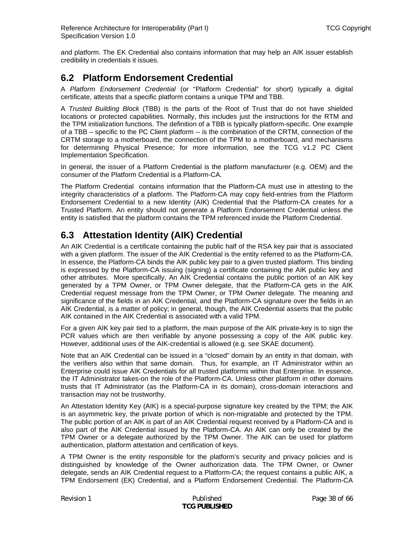<span id="page-37-0"></span>and platform. The EK Credential also contains information that may help an AIK issuer establish credibility in credentials it issues.

### **6.2 Platform Endorsement Credential**

A *Platform Endorsement Credential* (or "Platform Credential" for short) typically a digital certificate, attests that a specific platform contains a unique TPM and TBB.

A *Trusted Building Block* (TBB) is the parts of the Root of Trust that do not have shielded locations or protected capabilities. Normally, this includes just the instructions for the RTM and the TPM initialization functions. The definition of a TBB is typically platform-specific. One example of a TBB – specific to the PC Client platform -- is the combination of the CRTM, connection of the CRTM storage to a motherboard, the connection of the TPM to a motherboard, and mechanisms for determining Physical Presence; for more information, see the TCG v1.2 PC Client Implementation Specification.

In general, the issuer of a Platform Credential is the platform manufacturer (e.g. OEM) and the consumer of the Platform Credential is a Platform-CA.

The Platform Credential contains information that the Platform-CA must use in attesting to the integrity characteristics of a platform. The Platform-CA may copy field-entries from the Platform Endorsement Credential to a new Identity (AIK) Credential that the Platform-CA creates for a Trusted Platform. An entity should not generate a Platform Endorsement Credential unless the entity is satisfied that the platform contains the TPM referenced inside the Platform Credential.

# **6.3 Attestation Identity (AIK) Credential**

An AIK Credential is a certificate containing the public half of the RSA key pair that is associated with a given platform. The issuer of the AIK Credential is the entity referred to as the Platform-CA. In essence, the Platform-CA binds the AIK public key pair to a given trusted platform. This binding is expressed by the Platform-CA issuing (signing) a certificate containing the AIK public key and other attributes. More specifically, An AIK Credential contains the public portion of an AIK key generated by a TPM Owner, or TPM Owner delegate, that the Platform-CA gets in the AIK Credential request message from the TPM Owner, or TPM Owner delegate. The meaning and significance of the fields in an AIK Credential, and the Platform-CA signature over the fields in an AIK Credential, is a matter of policy; in general, though, the AIK Credential asserts that the public AIK contained in the AIK Credential is associated with a valid TPM.

For a given AIK key pair tied to a platform, the main purpose of the AIK private-key is to sign the PCR values which are then verifiable by anyone possessing a copy of the AIK public key. However, additional uses of the AIK-credential is allowed (e.g. see SKAE document).

Note that an AIK Credential can be issued in a "closed" domain by an entity in that domain, with the verifiers also within that same domain. Thus, for example, an IT Administrator within an Enterprise could issue AIK Credentials for all trusted platforms within that Enterprise. In essence, the IT Administrator takes-on the role of the Platform-CA. Unless other platform in other domains trusts that IT Administrator (as the Platform-CA in its domain), cross-domain interactions and transaction may not be trustworthy.

An Attestation Identity Key (AIK) is a special-purpose signature key created by the TPM; the AIK is an asymmetric key, the private portion of which is non-migratable and protected by the TPM. The public portion of an AIK is part of an AIK Credential request received by a Platform-CA and is also part of the AIK Credential issued by the Platform-CA. An AIK can only be created by the TPM Owner or a delegate authorized by the TPM Owner. The AIK can be used for platform authentication, platform attestation and certification of keys.

A TPM Owner is the entity responsible for the platform's security and privacy policies and is distinguished by knowledge of the Owner authorization data. The TPM Owner, or Owner delegate, sends an AIK Credential request to a Platform-CA; the request contains a public AIK, a TPM Endorsement (EK) Credential, and a Platform Endorsement Credential. The Platform-CA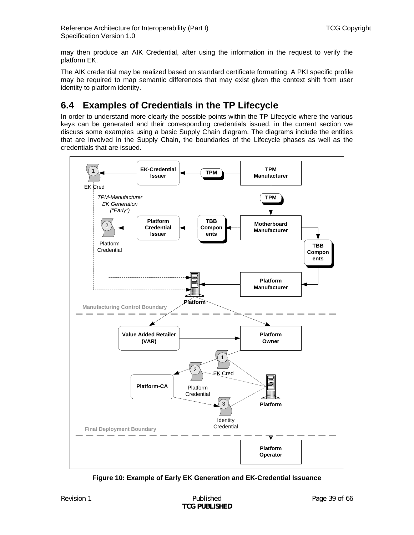<span id="page-38-0"></span>may then produce an AIK Credential, after using the information in the request to verify the platform EK.

The AIK credential may be realized based on standard certificate formatting. A PKI specific profile may be required to map semantic differences that may exist given the context shift from user identity to platform identity.

# **6.4 Examples of Credentials in the TP Lifecycle**

In order to understand more clearly the possible points within the TP Lifecycle where the various keys can be generated and their corresponding credentials issued, in the current section we discuss some examples using a basic Supply Chain diagram. The diagrams include the entities that are involved in the Supply Chain, the boundaries of the Lifecycle phases as well as the credentials that are issued.



<span id="page-38-1"></span>**Figure 10: Example of Early EK Generation and EK-Credential Issuance**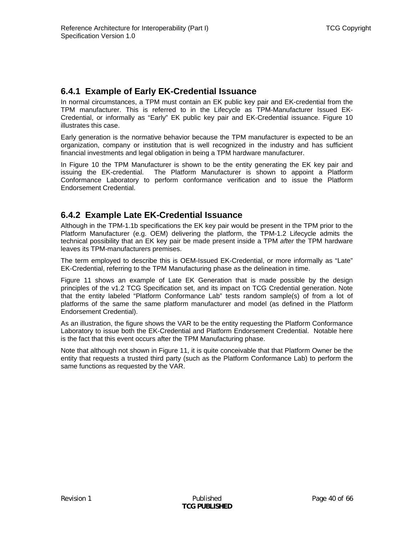### <span id="page-39-0"></span>**6.4.1 Example of Early EK-Credential Issuance**

In normal circumstances, a TPM must contain an EK public key pair and EK-credential from the TPM manufacturer. This is referred to in the Lifecycle as TPM-Manufacturer Issued EK-Credential, or informally as "Early" EK public key pair and EK-Credential issuance. [Figure 10](#page-38-1) illustrates this case.

Early generation is the normative behavior because the TPM manufacturer is expected to be an organization, company or institution that is well recognized in the industry and has sufficient financial investments and legal obligation in being a TPM hardware manufacturer.

In [Figure 10](#page-38-1) the TPM Manufacturer is shown to be the entity generating the EK key pair and issuing the EK-credential. The Platform Manufacturer is shown to appoint a Platform Conformance Laboratory to perform conformance verification and to issue the Platform Endorsement Credential.

### **6.4.2 Example Late EK-Credential Issuance**

Although in the TPM-1.1b specifications the EK key pair would be present in the TPM prior to the Platform Manufacturer (e.g. OEM) delivering the platform, the TPM-1.2 Lifecycle admits the technical possibility that an EK key pair be made present inside a TPM *after* the TPM hardware leaves its TPM-manufacturers premises.

The term employed to describe this is OEM-Issued EK-Credential, or more informally as "Late" EK-Credential, referring to the TPM Manufacturing phase as the delineation in time.

[Figure 11](#page-40-2) shows an example of Late EK Generation that is made possible by the design principles of the v1.2 TCG Specification set, and its impact on TCG Credential generation. Note that the entity labeled "Platform Conformance Lab" tests random sample(s) of from a lot of platforms of the same the same platform manufacturer and model (as defined in the Platform Endorsement Credential).

As an illustration, the figure shows the VAR to be the entity requesting the Platform Conformance Laboratory to issue both the EK-Credential and Platform Endorsement Credential. Notable here is the fact that this event occurs after the TPM Manufacturing phase.

Note that although not shown in [Figure 11](#page-40-2), it is quite conceivable that that Platform Owner be the entity that requests a trusted third party (such as the Platform Conformance Lab) to perform the same functions as requested by the VAR.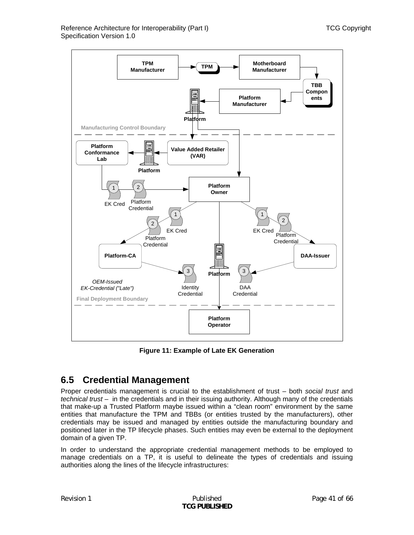<span id="page-40-0"></span>

**Figure 11: Example of Late EK Generation** 

# <span id="page-40-2"></span><span id="page-40-1"></span>**6.5 Credential Management**

Proper credentials management is crucial to the establishment of trust – both *social trust* and *technical trust* – in the credentials and in their issuing authority. Although many of the credentials that make-up a Trusted Platform maybe issued within a "clean room" environment by the same entities that manufacture the TPM and TBBs (or entities trusted by the manufacturers), other credentials may be issued and managed by entities outside the manufacturing boundary and positioned later in the TP lifecycle phases. Such entities may even be external to the deployment domain of a given TP.

In order to understand the appropriate credential management methods to be employed to manage credentials on a TP, it is useful to delineate the types of credentials and issuing authorities along the lines of the lifecycle infrastructures: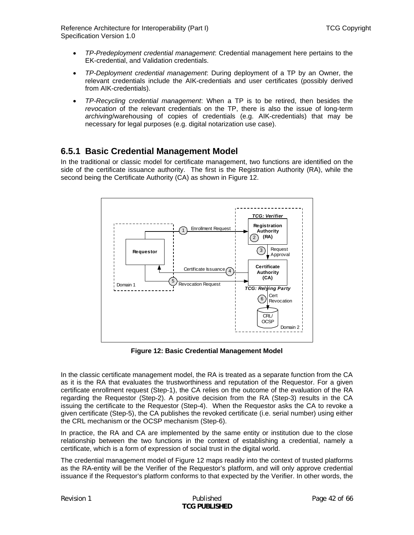<span id="page-41-0"></span>Reference Architecture for Interoperability (Part I) TCG Copyright Specification Version 1.0

- *TP-Predeployment credential management*: Credential management here pertains to the EK-credential, and Validation credentials.
- *TP-Deployment credential management*: During deployment of a TP by an Owner, the relevant credentials include the AIK-credentials and user certificates (possibly derived from AIK-credentials).
- *TP-Recycling credential management*: When a TP is to be retired, then besides the *revocation* of the relevant credentials on the TP, there is also the issue of long-term *archiving*/warehousing of copies of credentials (e.g. AIK-credentials) that may be necessary for legal purposes (e.g. digital notarization use case).

### **6.5.1 Basic Credential Management Model**

In the traditional or classic model for certificate management, two functions are identified on the side of the certificate issuance authority. The first is the Registration Authority (RA), while the second being the Certificate Authority (CA) as shown in [Figure 12](#page-41-1).



**Figure 12: Basic Credential Management Model** 

<span id="page-41-1"></span>In the classic certificate management model, the RA is treated as a separate function from the CA as it is the RA that evaluates the trustworthiness and reputation of the Requestor. For a given certificate enrollment request (Step-1), the CA relies on the outcome of the evaluation of the RA regarding the Requestor (Step-2). A positive decision from the RA (Step-3) results in the CA issuing the certificate to the Requestor (Step-4). When the Requestor asks the CA to revoke a given certificate (Step-5), the CA publishes the revoked certificate (i.e. serial number) using either the CRL mechanism or the OCSP mechanism (Step-6).

In practice, the RA and CA are implemented by the same entity or institution due to the close relationship between the two functions in the context of establishing a credential, namely a certificate, which is a form of expression of social trust in the digital world.

The credential management model of [Figure 12](#page-41-1) maps readily into the context of trusted platforms as the RA-entity will be the Verifier of the Requestor's platform, and will only approve credential issuance if the Requestor's platform conforms to that expected by the Verifier. In other words, the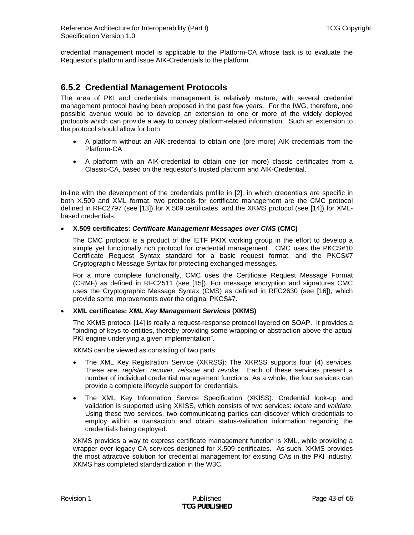<span id="page-42-0"></span>credential management model is applicable to the Platform-CA whose task is to evaluate the Requestor's platform and issue AIK-Credentials to the platform.

### **6.5.2 Credential Management Protocols**

The area of PKI and credentials management is relatively mature, with several credential management protocol having been proposed in the past few years. For the IWG, therefore, one possible avenue would be to develop an extension to one or more of the widely deployed protocols which can provide a way to convey platform-related information. Such an extension to the protocol should allow for both:

- A platform without an AIK-credential to obtain one (ore more) AIK-credentials from the Platform-CA
- A platform with an AIK-credential to obtain one (or more) classic certificates from a Classic-CA, based on the requestor's trusted platform and AIK-Credential.

In-line with the development of the credentials profile in [\[2\]](#page-64-2), in which credentials are specific in both X.509 and XML format, two protocols for certificate management are the CMC protocol defined in RFC2797 (see [\[13\]](#page-64-11)) for X.509 certificates, and the XKMS protocol (see [\[14\]](#page-64-12)) for XMLbased credentials.

### • **X.509 certificates:** *Certificate Management Messages over CMS* **(CMC)**

The CMC protocol is a product of the IETF PKIX working group in the effort to develop a simple yet functionally rich protocol for credential management. CMC uses the PKCS#10 Certificate Request Syntax standard for a basic request format, and the PKCS#7 Cryptographic Message Syntax for protecting exchanged messages.

For a more complete functionally, CMC uses the Certificate Request Message Format (CRMF) as defined in RFC2511 (see [\[15\]](#page-64-13)). For message encryption and signatures CMC uses the Cryptographic Message Syntax (CMS) as defined in RFC2630 (see [\[16\]\)](#page-64-14), which provide some improvements over the original PKCS#7.

#### • **XML certificates:** *XML Key Management Services* **(XKMS)**

The XKMS protocol [\[14\]](#page-64-12) is really a request-response protocol layered on SOAP. It provides a "binding of keys to entities, thereby providing some wrapping or abstraction above the actual PKI engine underlying a given implementation".

XKMS can be viewed as consisting of two parts:

- The XML Key Registration Service (XKRSS): The XKRSS supports four (4) services. These are: *register*, *recover*, *reissue* and *revoke*. Each of these services present a number of individual credential management functions. As a whole, the four services can provide a complete lifecycle support for credentials.
- The XML Key Information Service Specification (XKISS): Credential look-up and validation is supported using XKISS, which consists of two services: *locate* and *validate*. Using these two services, two communicating parties can discover which credentials to employ within a transaction and obtain status-validation information regarding the credentials being deployed.

XKMS provides a way to express certificate management function is XML, while providing a wrapper over legacy CA services designed for X.509 certificates. As such, XKMS provides the most attractive solution for credential management for existing CAs in the PKI industry. XKMS has completed standardization in the W3C.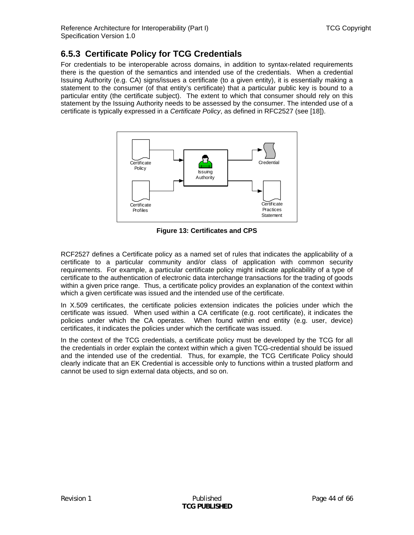### <span id="page-43-0"></span>**6.5.3 Certificate Policy for TCG Credentials**

For credentials to be interoperable across domains, in addition to syntax-related requirements there is the question of the semantics and intended use of the credentials. When a credential Issuing Authority (e.g. CA) signs/issues a certificate (to a given entity), it is essentially making a statement to the consumer (of that entity's certificate) that a particular public key is bound to a particular entity (the certificate subject). The extent to which that consumer should rely on this statement by the Issuing Authority needs to be assessed by the consumer. The intended use of a certificate is typically expressed in a *Certificate Policy*, as defined in RFC2527 (see [\[18\]\)](#page-64-15).



**Figure 13: Certificates and CPS** 

RCF2527 defines a Certificate policy as a named set of rules that indicates the applicability of a certificate to a particular community and/or class of application with common security requirements. For example, a particular certificate policy might indicate applicability of a type of certificate to the authentication of electronic data interchange transactions for the trading of goods within a given price range. Thus, a certificate policy provides an explanation of the context within which a given certificate was issued and the intended use of the certificate.

In X.509 certificates, the certificate policies extension indicates the policies under which the certificate was issued. When used within a CA certificate (e.g. root certificate), it indicates the policies under which the CA operates. When found within end entity (e.g. user, device) certificates, it indicates the policies under which the certificate was issued.

In the context of the TCG credentials, a certificate policy must be developed by the TCG for all the credentials in order explain the context within which a given TCG-credential should be issued and the intended use of the credential. Thus, for example, the TCG Certificate Policy should clearly indicate that an EK Credential is accessible only to functions within a trusted platform and cannot be used to sign external data objects, and so on.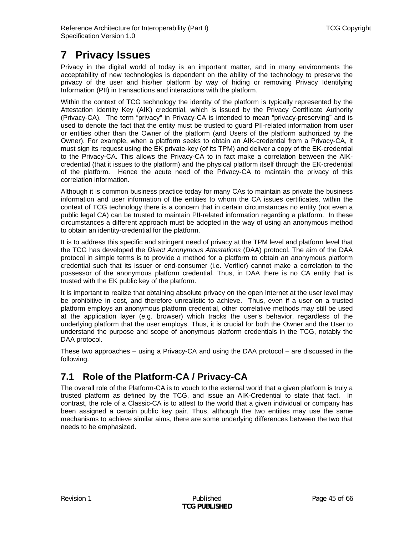# <span id="page-44-1"></span><span id="page-44-0"></span>**7 Privacy Issues**

Privacy in the digital world of today is an important matter, and in many environments the acceptability of new technologies is dependent on the ability of the technology to preserve the privacy of the user and his/her platform by way of hiding or removing Privacy Identifying Information (PII) in transactions and interactions with the platform.

Within the context of TCG technology the identity of the platform is typically represented by the Attestation Identity Key (AIK) credential, which is issued by the Privacy Certificate Authority (Privacy-CA). The term "privacy" in Privacy-CA is intended to mean "privacy-preserving" and is used to denote the fact that the entity must be trusted to guard PII-related information from user or entities other than the Owner of the platform (and Users of the platform authorized by the Owner). For example, when a platform seeks to obtain an AIK-credential from a Privacy-CA, it must sign its request using the EK private-key (of its TPM) and deliver a copy of the EK-credential to the Privacy-CA. This allows the Privacy-CA to in fact make a correlation between the AIKcredential (that it issues to the platform) and the physical platform itself through the EK-credential of the platform. Hence the acute need of the Privacy-CA to maintain the privacy of this correlation information.

Although it is common business practice today for many CAs to maintain as private the business information and user information of the entities to whom the CA issues certificates, within the context of TCG technology there is a concern that in certain circumstances no entity (not even a public legal CA) can be trusted to maintain PII-related information regarding a platform. In these circumstances a different approach must be adopted in the way of using an anonymous method to obtain an identity-credential for the platform.

It is to address this specific and stringent need of privacy at the TPM level and platform level that the TCG has developed the *Direct Anonymous Attestations* (DAA) protocol. The aim of the DAA protocol in simple terms is to provide a method for a platform to obtain an anonymous platform credential such that its issuer or end-consumer (i.e. Verifier) cannot make a correlation to the possessor of the anonymous platform credential. Thus, in DAA there is no CA entity that is trusted with the EK public key of the platform.

It is important to realize that obtaining absolute privacy on the open Internet at the user level may be prohibitive in cost, and therefore unrealistic to achieve. Thus, even if a user on a trusted platform employs an anonymous platform credential, other correlative methods may still be used at the application layer (e.g. browser) which tracks the user's behavior, regardless of the underlying platform that the user employs. Thus, it is crucial for both the Owner and the User to understand the purpose and scope of anonymous platform credentials in the TCG, notably the DAA protocol.

These two approaches – using a Privacy-CA and using the DAA protocol – are discussed in the following.

# **7.1 Role of the Platform-CA / Privacy-CA**

The overall role of the Platform-CA is to vouch to the external world that a given platform is truly a trusted platform as defined by the TCG, and issue an AIK-Credential to state that fact. In contrast, the role of a Classic-CA is to attest to the world that a given individual or company has been assigned a certain public key pair. Thus, although the two entities may use the same mechanisms to achieve similar aims, there are some underlying differences between the two that needs to be emphasized.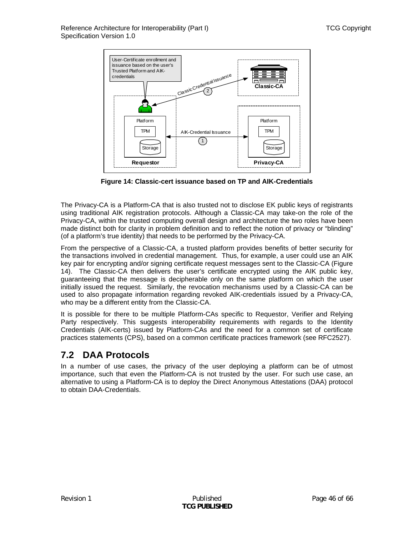<span id="page-45-0"></span>

**Figure 14: Classic-cert issuance based on TP and AIK-Credentials** 

<span id="page-45-1"></span>The Privacy-CA is a Platform-CA that is also trusted not to disclose EK public keys of registrants using traditional AIK registration protocols. Although a Classic-CA may take-on the role of the Privacy-CA, within the trusted computing overall design and architecture the two roles have been made distinct both for clarity in problem definition and to reflect the notion of privacy or "blinding" (of a platform's true identity) that needs to be performed by the Privacy-CA.

From the perspective of a Classic-CA, a trusted platform provides benefits of better security for the transactions involved in credential management. Thus, for example, a user could use an AIK key pair for encrypting and/or signing certificate request messages sent to the Classic-CA ([Figure](#page-45-1)  [14](#page-45-1)). The Classic-CA then delivers the user's certificate encrypted using the AIK public key, guaranteeing that the message is decipherable only on the same platform on which the user initially issued the request. Similarly, the revocation mechanisms used by a Classic-CA can be used to also propagate information regarding revoked AIK-credentials issued by a Privacy-CA, who may be a different entity from the Classic-CA.

It is possible for there to be multiple Platform-CAs specific to Requestor, Verifier and Relying Party respectively. This suggests interoperability requirements with regards to the Identity Credentials (AIK-certs) issued by Platform-CAs and the need for a common set of certificate practices statements (CPS), based on a common certificate practices framework (see RFC2527).

## **7.2 DAA Protocols**

In a number of use cases, the privacy of the user deploying a platform can be of utmost importance, such that even the Platform-CA is not trusted by the user. For such use case, an alternative to using a Platform-CA is to deploy the Direct Anonymous Attestations (DAA) protocol to obtain DAA-Credentials.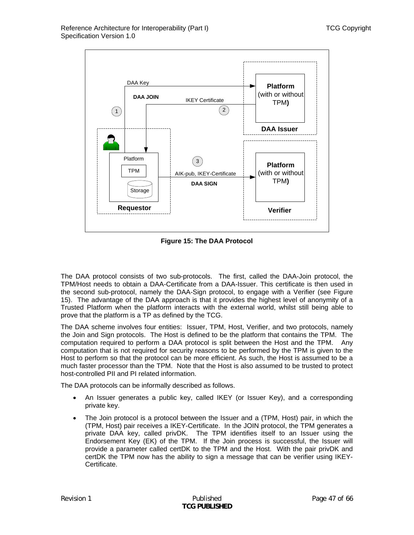

**Figure 15: The DAA Protocol** 

<span id="page-46-0"></span>The DAA protocol consists of two sub-protocols. The first, called the DAA-Join protocol, the TPM/Host needs to obtain a DAA-Certificate from a DAA-Issuer. This certificate is then used in the second sub-protocol, namely the DAA-Sign protocol, to engage with a Verifier (see [Figure](#page-46-0)  [15](#page-46-0)). The advantage of the DAA approach is that it provides the highest level of anonymity of a Trusted Platform when the platform interacts with the external world, whilst still being able to prove that the platform is a TP as defined by the TCG.

The DAA scheme involves four entities: Issuer, TPM, Host, Verifier, and two protocols, namely the Join and Sign protocols. The Host is defined to be the platform that contains the TPM. The computation required to perform a DAA protocol is split between the Host and the TPM. Any computation that is not required for security reasons to be performed by the TPM is given to the Host to perform so that the protocol can be more efficient. As such, the Host is assumed to be a much faster processor than the TPM. Note that the Host is also assumed to be trusted to protect host-controlled PII and PI related information.

The DAA protocols can be informally described as follows.

- An Issuer generates a public key, called IKEY (or Issuer Key), and a corresponding private key.
- The Join protocol is a protocol between the Issuer and a (TPM, Host) pair, in which the (TPM, Host) pair receives a IKEY-Certificate. In the JOIN protocol, the TPM generates a private DAA key, called privDK. The TPM identifies itself to an Issuer using the Endorsement Key (EK) of the TPM. If the Join process is successful, the Issuer will provide a parameter called certDK to the TPM and the Host. With the pair privDK and certDK the TPM now has the ability to sign a message that can be verifier using IKEY-Certificate.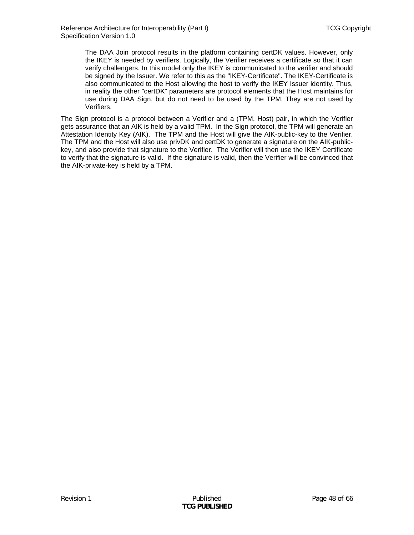The DAA Join protocol results in the platform containing certDK values. However, only the IKEY is needed by verifiers. Logically, the Verifier receives a certificate so that it can verify challengers. In this model only the IKEY is communicated to the verifier and should be signed by the Issuer. We refer to this as the "IKEY-Certificate". The IKEY-Certificate is also communicated to the Host allowing the host to verify the IKEY Issuer identity. Thus, in reality the other "certDK" parameters are protocol elements that the Host maintains for use during DAA Sign, but do not need to be used by the TPM. They are not used by Verifiers.

The Sign protocol is a protocol between a Verifier and a (TPM, Host) pair, in which the Verifier gets assurance that an AIK is held by a valid TPM. In the Sign protocol, the TPM will generate an Attestation Identity Key (AIK). The TPM and the Host will give the AIK-public-key to the Verifier. The TPM and the Host will also use privDK and certDK to generate a signature on the AIK-publickey, and also provide that signature to the Verifier. The Verifier will then use the IKEY Certificate to verify that the signature is valid. If the signature is valid, then the Verifier will be convinced that the AIK-private-key is held by a TPM.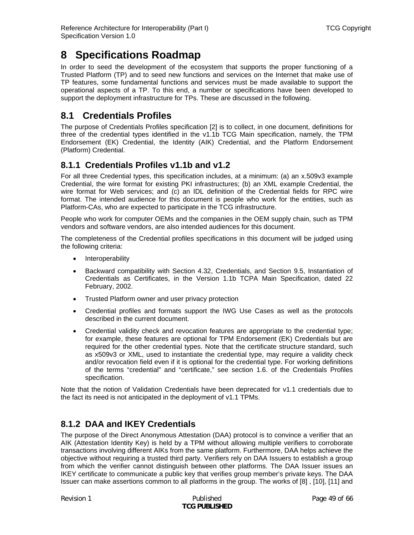# <span id="page-48-0"></span>**8 Specifications Roadmap**

In order to seed the development of the ecosystem that supports the proper functioning of a Trusted Platform (TP) and to seed new functions and services on the Internet that make use of TP features, some fundamental functions and services must be made available to support the operational aspects of a TP. To this end, a number or specifications have been developed to support the deployment infrastructure for TPs. These are discussed in the following.

# **8.1 Credentials Profiles**

The purpose of Credentials Profiles specification [\[2\]](#page-64-2) is to collect, in one document, definitions for three of the credential types identified in the v1.1b TCG Main specification, namely, the TPM Endorsement (EK) Credential, the Identity (AIK) Credential, and the Platform Endorsement (Platform) Credential.

### **8.1.1 Credentials Profiles v1.1b and v1.2**

For all three Credential types, this specification includes, at a minimum: (a) an x.509v3 example Credential, the wire format for existing PKI infrastructures; (b) an XML example Credential, the wire format for Web services; and (c) an IDL definition of the Credential fields for RPC wire format. The intended audience for this document is people who work for the entities, such as Platform-CAs, who are expected to participate in the TCG infrastructure.

People who work for computer OEMs and the companies in the OEM supply chain, such as TPM vendors and software vendors, are also intended audiences for this document.

The completeness of the Credential profiles specifications in this document will be judged using the following criteria:

- Interoperability
- Backward compatibility with Section 4.32, Credentials, and Section 9.5, Instantiation of Credentials as Certificates, in the Version 1.1b TCPA Main Specification, dated 22 February, 2002.
- Trusted Platform owner and user privacy protection
- Credential profiles and formats support the IWG Use Cases as well as the protocols described in the current document.
- Credential validity check and revocation features are appropriate to the credential type; for example, these features are optional for TPM Endorsement (EK) Credentials but are required for the other credential types. Note that the certificate structure standard, such as x509v3 or XML, used to instantiate the credential type, may require a validity check and/or revocation field even if it is optional for the credential type. For working definitions of the terms "credential" and "certificate," see section 1.6. of the Credentials Profiles specification.

Note that the notion of Validation Credentials have been deprecated for v1.1 credentials due to the fact its need is not anticipated in the deployment of v1.1 TPMs.

### **8.1.2 DAA and IKEY Credentials**

The purpose of the Direct Anonymous Attestation (DAA) protocol is to convince a verifier that an AIK (Attestation Identity Key) is held by a TPM without allowing multiple verifiers to corroborate transactions involving different AIKs from the same platform. Furthermore, DAA helps achieve the objective without requiring a trusted third party. Verifiers rely on DAA Issuers to establish a group from which the verifier cannot distinguish between other platforms. The DAA Issuer issues an IKEY certificate to communicate a public key that verifies group member's private keys. The DAA Issuer can make assertions common to all platforms in the group. The works of [\[8\]](#page-64-6) , [\[10\],](#page-64-7) [\[11\]](#page-64-8) and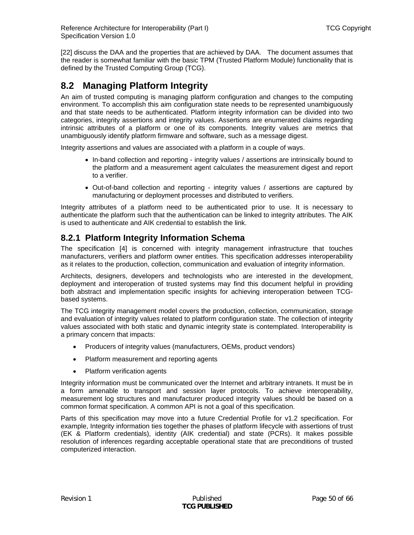<span id="page-49-0"></span>[\[22\]](#page-65-0) discuss the DAA and the properties that are achieved by DAA. The document assumes that the reader is somewhat familiar with the basic TPM (Trusted Platform Module) functionality that is defined by the Trusted Computing Group (TCG).

## <span id="page-49-1"></span>**8.2 Managing Platform Integrity**

An aim of trusted computing is managing platform configuration and changes to the computing environment. To accomplish this aim configuration state needs to be represented unambiguously and that state needs to be authenticated. Platform integrity information can be divided into two categories, integrity assertions and integrity values. Assertions are enumerated claims regarding intrinsic attributes of a platform or one of its components. Integrity values are metrics that unambiguously identify platform firmware and software, such as a message digest.

Integrity assertions and values are associated with a platform in a couple of ways.

- In-band collection and reporting integrity values / assertions are intrinsically bound to the platform and a measurement agent calculates the measurement digest and report to a verifier.
- Out-of-band collection and reporting integrity values / assertions are captured by manufacturing or deployment processes and distributed to verifiers.

Integrity attributes of a platform need to be authenticated prior to use. It is necessary to authenticate the platform such that the authentication can be linked to integrity attributes. The AIK is used to authenticate and AIK credential to establish the link.

### **8.2.1 Platform Integrity Information Schema**

The specification [\[4\]](#page-64-4) is concerned with integrity management infrastructure that touches manufacturers, verifiers and platform owner entities. This specification addresses interoperability as it relates to the production, collection, communication and evaluation of integrity information.

Architects, designers, developers and technologists who are interested in the development, deployment and interoperation of trusted systems may find this document helpful in providing both abstract and implementation specific insights for achieving interoperation between TCGbased systems.

The TCG integrity management model covers the production, collection, communication, storage and evaluation of integrity values related to platform configuration state. The collection of integrity values associated with both static and dynamic integrity state is contemplated. Interoperability is a primary concern that impacts:

- Producers of integrity values (manufacturers, OEMs, product vendors)
- Platform measurement and reporting agents
- Platform verification agents

Integrity information must be communicated over the Internet and arbitrary intranets. It must be in a form amenable to transport and session layer protocols. To achieve interoperability, measurement log structures and manufacturer produced integrity values should be based on a common format specification. A common API is not a goal of this specification.

Parts of this specification may move into a future Credential Profile for v1.2 specification. For example, Integrity information ties together the phases of platform lifecycle with assertions of trust (EK & Platform credentials), identity (AIK credential) and state (PCRs). It makes possible resolution of inferences regarding acceptable operational state that are preconditions of trusted computerized interaction.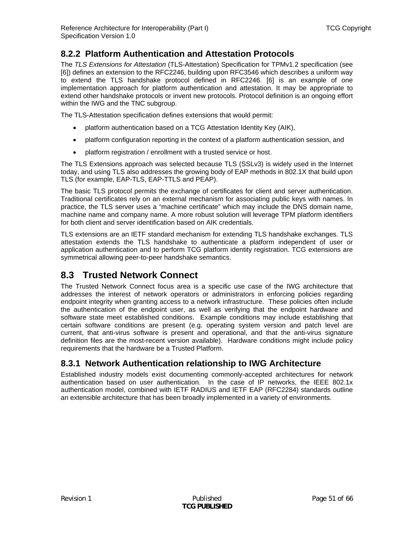### <span id="page-50-0"></span>**8.2.2 Platform Authentication and Attestation Protocols**

The *TLS Extensions for Attestation* (TLS-Attestation) Specification for TPMv1.2 specification (see [6]) defines an extension to the RFC2246, building upon RFC3546 which describes a uniform way to extend the TLS handshake protocol defined in RFC2246. [6] is an example of one implementation approach for platform authentication and attestation. It may be appropriate to extend other handshake protocols or invent new protocols. Protocol definition is an ongoing effort within the IWG and the TNC subgroup.

The TLS-Attestation specification defines extensions that would permit:

- platform authentication based on a TCG Attestation Identity Key (AIK),
- platform configuration reporting in the context of a platform authentication session, and
- platform registration / enrollment with a trusted service or host.

The TLS Extensions approach was selected because TLS (SSLv3) is widely used in the Internet today, and using TLS also addresses the growing body of EAP methods in 802.1X that build upon TLS (for example, EAP-TLS, EAP-TTLS and PEAP).

The basic TLS protocol permits the exchange of certificates for client and server authentication. Traditional certificates rely on an external mechanism for associating public keys with names. In practice, the TLS server uses a "machine certificate" which may include the DNS domain name, machine name and company name. A more robust solution will leverage TPM platform identifiers for both client and server identification based on AIK credentials.

TLS extensions are an IETF standard mechanism for extending TLS handshake exchanges. TLS attestation extends the TLS handshake to authenticate a platform independent of user or application authentication and to perform TCG platform identity registration. TCG extensions are symmetrical allowing peer-to-peer handshake semantics.

# **8.3 Trusted Network Connect**

<span id="page-50-1"></span>The Trusted Network Connect focus area is a specific use case of the IWG architecture that addresses the interest of network operators or administrators in enforcing policies regarding endpoint integrity when granting access to a network infrastructure. These policies often include the authentication of the endpoint user, as well as verifying that the endpoint hardware and software state meet established conditions. Example conditions may include establishing that certain software conditions are present (e.g. operating system version and patch level are current, that anti-virus software is present and operational, and that the anti-virus signature definition files are the most-recent version available). Hardware conditions might include policy requirements that the hardware be a Trusted Platform.

### **8.3.1 Network Authentication relationship to IWG Architecture**

Established industry models exist documenting commonly-accepted architectures for network authentication based on user authentication. In the case of IP networks, the IEEE 802.1x authentication model, combined with IETF RADIUS and IETF EAP (RFC2284) standards outline an extensible architecture that has been broadly implemented in a variety of environments.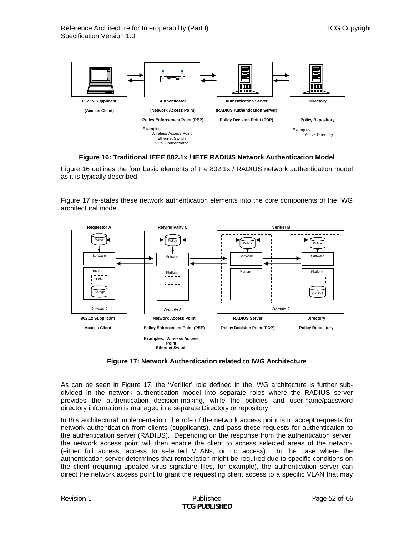

**Figure 16: Traditional IEEE 802.1x / IETF RADIUS Network Authentication Model** 

<span id="page-51-0"></span>[Figure 16](#page-51-0) outlines the four basic elements of the 802.1x / RADIUS network authentication model as it is typically described.

[Figure 17](#page-51-1) re-states these network authentication elements into the core components of the IWG architectural model.



**Figure 17: Network Authentication related to IWG Architecture** 

<span id="page-51-1"></span>As can be seen in [Figure 17](#page-51-1), the 'Verifier' role defined in the IWG architecture is further subdivided in the network authentication model into separate roles where the RADIUS server provides the authentication decision-making, while the policies and user-name/password directory information is managed in a separate Directory or repository.

In this architectural implementation, the role of the network access point is to accept requests for network authentication from clients (supplicants), and pass these requests for authentication to the authentication server (RADIUS). Depending on the response from the authentication server, the network access point will then enable the client to access selected areas of the network (either full access, access to selected VLANs, or no access). In the case where the authentication server determines that remediation might be required due to specific conditions on the client (requiring updated virus signature files, for example), the authentication server can direct the network access point to grant the requesting client access to a specific VLAN that may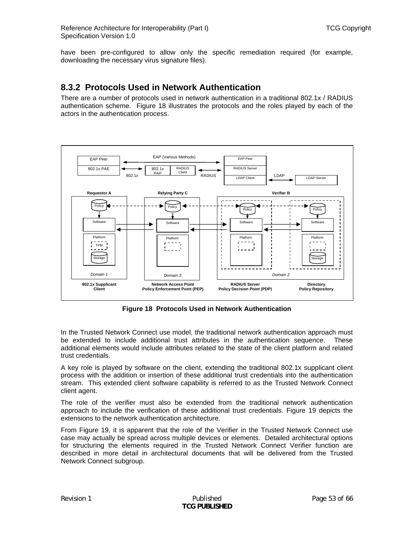<span id="page-52-0"></span>have been pre-configured to allow only the specific remediation required (for example, downloading the necessary virus signature files).

### **8.3.2 Protocols Used in Network Authentication**

There are a number of protocols used in network authentication in a traditional 802.1x / RADIUS authentication scheme. [Figure 18](#page-52-1) illustrates the protocols and the roles played by each of the actors in the authentication process.



**Figure 18 Protocols Used in Network Authentication** 

<span id="page-52-1"></span>In the Trusted Network Connect use model, the traditional network authentication approach must be extended to include additional trust attributes in the authentication sequence. These additional elements would include attributes related to the state of the client platform and related trust credentials.

A key role is played by software on the client, extending the traditional 802.1x supplicant client process with the addition or insertion of these additional trust credentials into the authentication stream. This extended client software capability is referred to as the Trusted Network Connect client agent.

The role of the verifier must also be extended from the traditional network authentication approach to include the verification of these additional trust credentials. [Figure 19](#page-53-2) depicts the extensions to the network authentication architecture.

From [Figure 19,](#page-53-2) it is apparent that the role of the Verifier in the Trusted Network Connect use case may actually be spread across multiple devices or elements. Detailed architectural options for structuring the elements required in the Trusted Network Connect Verifier function are described in more detail in architectural documents that will be delivered from the Trusted Network Connect subgroup.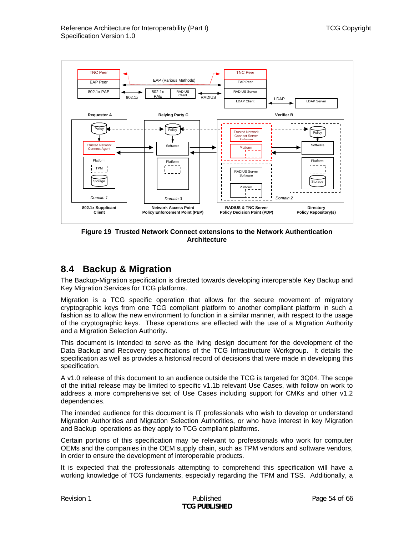<span id="page-53-0"></span>

**Figure 19 Trusted Network Connect extensions to the Network Authentication Architecture** 

### <span id="page-53-2"></span><span id="page-53-1"></span>**8.4 Backup & Migration**

The Backup-Migration specification is directed towards developing interoperable Key Backup and Key Migration Services for TCG platforms.

Migration is a TCG specific operation that allows for the secure movement of migratory cryptographic keys from one TCG compliant platform to another compliant platform in such a fashion as to allow the new environment to function in a similar manner, with respect to the usage of the cryptographic keys. These operations are effected with the use of a Migration Authority and a Migration Selection Authority.

This document is intended to serve as the living design document for the development of the Data Backup and Recovery specifications of the TCG Infrastructure Workgroup. It details the specification as well as provides a historical record of decisions that were made in developing this specification.

A v1.0 release of this document to an audience outside the TCG is targeted for 3Q04. The scope of the initial release may be limited to specific v1.1b relevant Use Cases, with follow on work to address a more comprehensive set of Use Cases including support for CMKs and other v1.2 dependencies.

The intended audience for this document is IT professionals who wish to develop or understand Migration Authorities and Migration Selection Authorities, or who have interest in key Migration and Backup operations as they apply to TCG compliant platforms.

Certain portions of this specification may be relevant to professionals who work for computer OEMs and the companies in the OEM supply chain, such as TPM vendors and software vendors, in order to ensure the development of interoperable products.

It is expected that the professionals attempting to comprehend this specification will have a working knowledge of TCG fundaments, especially regarding the TPM and TSS. Additionally, a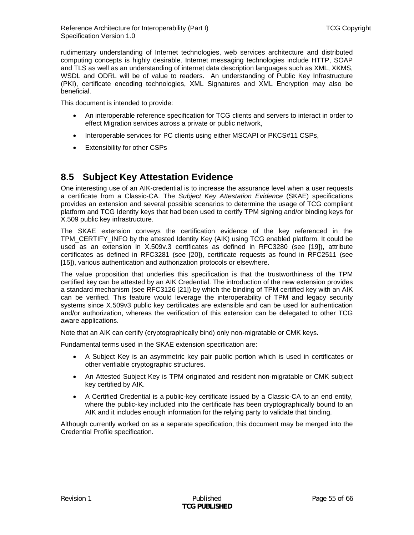<span id="page-54-0"></span>rudimentary understanding of Internet technologies, web services architecture and distributed computing concepts is highly desirable. Internet messaging technologies include HTTP, SOAP and TLS as well as an understanding of internet data description languages such as XML, XKMS, WSDL and ODRL will be of value to readers. An understanding of Public Key Infrastructure (PKI), certificate encoding technologies, XML Signatures and XML Encryption may also be beneficial.

This document is intended to provide:

- An interoperable reference specification for TCG clients and servers to interact in order to effect Migration services across a private or public network,
- Interoperable services for PC clients using either MSCAPI or PKCS#11 CSPs,
- Extensibility for other CSPs

## **8.5 Subject Key Attestation Evidence**

One interesting use of an AIK-credential is to increase the assurance level when a user requests a certificate from a Classic-CA. The *Subject Key Attestation Evidence* (SKAE) specifications provides an extension and several possible scenarios to determine the usage of TCG compliant platform and TCG Identity keys that had been used to certify TPM signing and/or binding keys for X.509 public key infrastructure.

The SKAE extension conveys the certification evidence of the key referenced in the TPM\_CERTIFY\_INFO by the attested Identity Key (AIK) using TCG enabled platform. It could be used as an extension in X.509v.3 certificates as defined in RFC3280 (see [\[19\]\)](#page-64-16), attribute certificates as defined in RFC3281 (see [\[20\]](#page-64-17)), certificate requests as found in RFC2511 (see [\[15\]\)](#page-64-13), various authentication and authorization protocols or elsewhere.

The value proposition that underlies this specification is that the trustworthiness of the TPM certified key can be attested by an AIK Credential. The introduction of the new extension provides a standard mechanism (see RFC3126 [\[21\]](#page-64-18)) by which the binding of TPM certified key with an AIK can be verified. This feature would leverage the interoperability of TPM and legacy security systems since X.509v3 public key certificates are extensible and can be used for authentication and/or authorization, whereas the verification of this extension can be delegated to other TCG aware applications.

Note that an AIK can certify (cryptographically bind) only non-migratable or CMK keys.

Fundamental terms used in the SKAE extension specification are:

- A Subject Key is an asymmetric key pair public portion which is used in certificates or other verifiable cryptographic structures.
- An Attested Subject Key is TPM originated and resident non-migratable or CMK subject key certified by AIK.
- A Certified Credential is a public-key certificate issued by a Classic-CA to an end entity, where the public-key included into the certificate has been cryptographically bound to an AIK and it includes enough information for the relying party to validate that binding.

Although currently worked on as a separate specification, this document may be merged into the Credential Profile specification.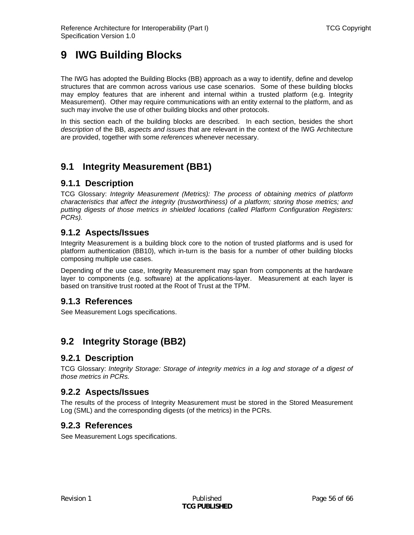# <span id="page-55-0"></span>**9 IWG Building Blocks**

The IWG has adopted the Building Blocks (BB) approach as a way to identify, define and develop structures that are common across various use case scenarios. Some of these building blocks may employ features that are inherent and internal within a trusted platform (e.g. Integrity Measurement). Other may require communications with an entity external to the platform, and as such may involve the use of other building blocks and other protocols.

In this section each of the building blocks are described. In each section, besides the short *description* of the BB, *aspects and issues* that are relevant in the context of the IWG Architecture are provided, together with some *references* whenever necessary.

# **9.1 Integrity Measurement (BB1)**

### **9.1.1 Description**

TCG Glossary: *Integrity Measurement (Metrics): The process of obtaining metrics of platform characteristics that affect the integrity (trustworthiness) of a platform; storing those metrics; and putting digests of those metrics in shielded locations (called Platform Configuration Registers: PCRs).* 

### **9.1.2 Aspects/Issues**

Integrity Measurement is a building block core to the notion of trusted platforms and is used for platform authentication (BB10), which in-turn is the basis for a number of other building blocks composing multiple use cases.

Depending of the use case, Integrity Measurement may span from components at the hardware layer to components (e.g. software) at the applications-layer. Measurement at each layer is based on transitive trust rooted at the Root of Trust at the TPM.

### **9.1.3 References**

See Measurement Logs specifications.

# **9.2 Integrity Storage (BB2)**

### **9.2.1 Description**

TCG Glossary: *Integrity Storage: Storage of integrity metrics in a log and storage of a digest of those metrics in PCRs.*

### **9.2.2 Aspects/Issues**

The results of the process of Integrity Measurement must be stored in the Stored Measurement Log (SML) and the corresponding digests (of the metrics) in the PCRs.

### **9.2.3 References**

See Measurement Logs specifications.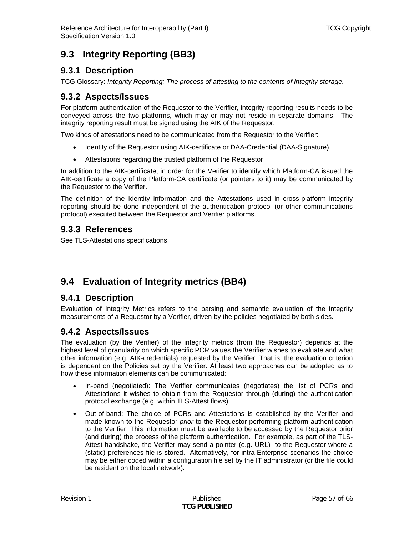# <span id="page-56-0"></span>**9.3 Integrity Reporting (BB3)**

### **9.3.1 Description**

TCG Glossary: *Integrity Reporting: The process of attesting to the contents of integrity storage.*

### **9.3.2 Aspects/Issues**

For platform authentication of the Requestor to the Verifier, integrity reporting results needs to be conveyed across the two platforms, which may or may not reside in separate domains. The integrity reporting result must be signed using the AIK of the Requestor.

Two kinds of attestations need to be communicated from the Requestor to the Verifier:

- Identity of the Requestor using AIK-certificate or DAA-Credential (DAA-Signature).
- Attestations regarding the trusted platform of the Requestor

In addition to the AIK-certificate, in order for the Verifier to identify which Platform-CA issued the AIK-certificate a copy of the Platform-CA certificate (or pointers to it) may be communicated by the Requestor to the Verifier.

The definition of the Identity information and the Attestations used in cross-platform integrity reporting should be done independent of the authentication protocol (or other communications protocol) executed between the Requestor and Verifier platforms.

### **9.3.3 References**

See TLS-Attestations specifications.

# **9.4 Evaluation of Integrity metrics (BB4)**

### **9.4.1 Description**

Evaluation of Integrity Metrics refers to the parsing and semantic evaluation of the integrity measurements of a Requestor by a Verifier, driven by the policies negotiated by both sides.

### **9.4.2 Aspects/Issues**

The evaluation (by the Verifier) of the integrity metrics (from the Requestor) depends at the highest level of granularity on which specific PCR values the Verifier wishes to evaluate and what other information (e.g. AIK-credentials) requested by the Verifier. That is, the evaluation criterion is dependent on the Policies set by the Verifier. At least two approaches can be adopted as to how these information elements can be communicated:

- In-band (negotiated): The Verifier communicates (negotiates) the list of PCRs and Attestations it wishes to obtain from the Requestor through (during) the authentication protocol exchange (e.g. within TLS-Attest flows).
- Out-of-band: The choice of PCRs and Attestations is established by the Verifier and made known to the Requestor *prior* to the Requestor performing platform authentication to the Verifier. This information must be available to be accessed by the Requestor prior (and during) the process of the platform authentication. For example, as part of the TLS-Attest handshake, the Verifier may send a pointer (e.g. URL) to the Requestor where a (static) preferences file is stored. Alternatively, for intra-Enterprise scenarios the choice may be either coded within a configuration file set by the IT administrator (or the file could be resident on the local network).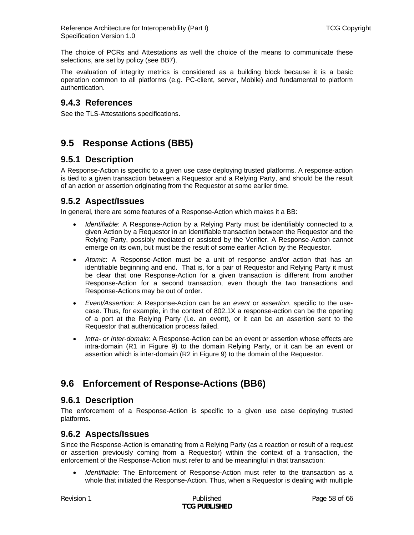<span id="page-57-0"></span>Reference Architecture for Interoperability (Part I) TCG Copyright Specification Version 1.0

The choice of PCRs and Attestations as well the choice of the means to communicate these selections, are set by policy (see BB7).

The evaluation of integrity metrics is considered as a building block because it is a basic operation common to all platforms (e.g. PC-client, server, Mobile) and fundamental to platform authentication.

### **9.4.3 References**

See the TLS-Attestations specifications.

## **9.5 Response Actions (BB5)**

### **9.5.1 Description**

A Response-Action is specific to a given use case deploying trusted platforms. A response-action is tied to a given transaction between a Requestor and a Relying Party, and should be the result of an action or assertion originating from the Requestor at some earlier time.

### **9.5.2 Aspect/Issues**

In general, there are some features of a Response-Action which makes it a BB:

- *Identifiable*: A Response-Action by a Relying Party must be identifiably connected to a given Action by a Requestor in an identifiable transaction between the Requestor and the Relying Party, possibly mediated or assisted by the Verifier. A Response-Action cannot emerge on its own, but must be the result of some earlier Action by the Requestor.
- *Atomic*: A Response-Action must be a unit of response and/or action that has an identifiable beginning and end. That is, for a pair of Requestor and Relying Party it must be clear that one Response-Action for a given transaction is different from another Response-Action for a second transaction, even though the two transactions and Response-Actions may be out of order.
- *Event/Assertion*: A Response-Action can be an *event* or *assertion*, specific to the usecase. Thus, for example, in the context of 802.1X a response-action can be the opening of a port at the Relying Party (i.e. an event), or it can be an assertion sent to the Requestor that authentication process failed.
- *Intra- or Inter-domain*: A Response-Action can be an event or assertion whose effects are intra-domain (R1 in [Figure 9](#page-27-1)) to the domain Relying Party, or it can be an event or assertion which is inter-domain (R2 in [Figure 9](#page-27-1)) to the domain of the Requestor.

## **9.6 Enforcement of Response-Actions (BB6)**

### **9.6.1 Description**

The enforcement of a Response-Action is specific to a given use case deploying trusted platforms.

### **9.6.2 Aspects/Issues**

Since the Response-Action is emanating from a Relying Party (as a reaction or result of a request or assertion previously coming from a Requestor) within the context of a transaction, the enforcement of the Response-Action must refer to and be meaningful in that transaction:

• *Identifiable*: The Enforcement of Response-Action must refer to the transaction as a whole that initiated the Response-Action. Thus, when a Requestor is dealing with multiple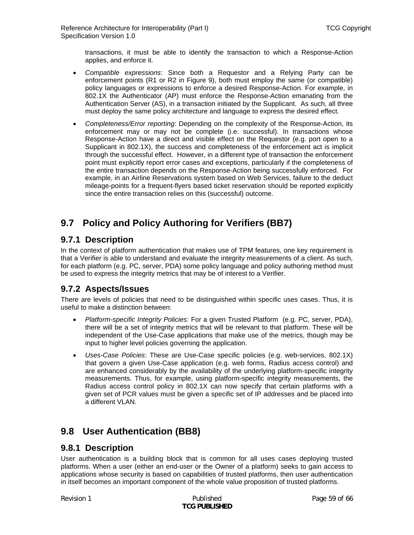<span id="page-58-0"></span>transactions, it must be able to identify the transaction to which a Response-Action applies, and enforce it.

- *Compatible expressions*: Since both a Requestor and a Relying Party can be enforcement points (R1 or R2 in [Figure 9\)](#page-27-1), both must employ the same (or compatible) policy languages or expressions to enforce a desired Response-Action. For example, in 802.1X the Authenticator (AP) must enforce the Response-Action emanating from the Authentication Server (AS), in a transaction initiated by the Supplicant. As such, all three must deploy the same policy architecture and language to express the desired effect.
- *Completeness/Error reporting*: Depending on the complexity of the Response-Action, its enforcement may or may not be complete (i.e. successful). In transactions whose Response-Action have a direct and visible effect on the Requestor (e.g. port open to a Supplicant in 802.1X), the success and completeness of the enforcement act is implicit through the successful effect. However, in a different type of transaction the enforcement point must explicitly report error cases and exceptions, particularly if the completeness of the entire transaction depends on the Response-Action being successfully enforced. For example, in an Airline Reservations system based on Web Services, failure to the deduct mileage-points for a frequent-flyers based ticket reservation should be reported explicitly since the entire transaction relies on this (successful) outcome.

# **9.7 Policy and Policy Authoring for Verifiers (BB7)**

### **9.7.1 Description**

In the context of platform authentication that makes use of TPM features, one key requirement is that a Verifier is able to understand and evaluate the integrity measurements of a client. As such, for each platform (e.g. PC, server, PDA) some policy language and policy authoring method must be used to express the integrity metrics that may be of interest to a Verifier.

### **9.7.2 Aspects/Issues**

There are levels of policies that need to be distinguished within specific uses cases. Thus, it is useful to make a distinction between:

- *Platform-specific Integrity Policies*: For a given Trusted Platform (e.g. PC, server, PDA), there will be a set of integrity metrics that will be relevant to that platform. These will be independent of the Use-Case applications that make use of the metrics, though may be input to higher level policies governing the application.
- *Uses-Case Policies*: These are Use-Case specific policies (e.g. web-services, 802.1X) that govern a given Use-Case application (e.g. web forms, Radius access control) and are enhanced considerably by the availability of the underlying platform-specific integrity measurements. Thus, for example, using platform-specific integrity measurements, the Radius access control policy in 802.1X can now specify that certain platforms with a given set of PCR values must be given a specific set of IP addresses and be placed into a different VLAN.

# **9.8 User Authentication (BB8)**

### **9.8.1 Description**

User authentication is a building block that is common for all uses cases deploying trusted platforms. When a user (either an end-user or the Owner of a platform) seeks to gain access to applications whose security is based on capabilities of trusted platforms, then user authentication in itself becomes an important component of the whole value proposition of trusted platforms.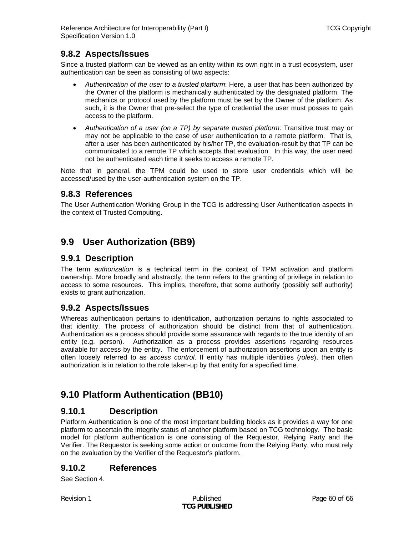### <span id="page-59-0"></span>**9.8.2 Aspects/Issues**

Since a trusted platform can be viewed as an entity within its own right in a trust ecosystem, user authentication can be seen as consisting of two aspects:

- *Authentication of the user to a trusted platform*: Here, a user that has been authorized by the Owner of the platform is mechanically authenticated by the designated platform. The mechanics or protocol used by the platform must be set by the Owner of the platform. As such, it is the Owner that pre-select the type of credential the user must posses to gain access to the platform.
- *Authentication of a user (on a TP) by separate trusted platform*: Transitive trust may or may not be applicable to the case of user authentication to a remote platform. That is, after a user has been authenticated by his/her TP, the evaluation-result by that TP can be communicated to a remote TP which accepts that evaluation. In this way, the user need not be authenticated each time it seeks to access a remote TP.

Note that in general, the TPM could be used to store user credentials which will be accessed/used by the user-authentication system on the TP.

### **9.8.3 References**

The User Authentication Working Group in the TCG is addressing User Authentication aspects in the context of Trusted Computing.

# **9.9 User Authorization (BB9)**

### **9.9.1 Description**

The term *authorization* is a technical term in the context of TPM activation and platform ownership. More broadly and abstractly, the term refers to the granting of privilege in relation to access to some resources. This implies, therefore, that some authority (possibly self authority) exists to grant authorization.

### **9.9.2 Aspects/Issues**

Whereas authentication pertains to identification, authorization pertains to rights associated to that identity. The process of authorization should be distinct from that of authentication. Authentication as a process should provide some assurance with regards to the true identity of an entity (e.g. person). Authorization as a process provides assertions regarding resources available for access by the entity. The enforcement of authorization assertions upon an entity is often loosely referred to as *access control*. If entity has multiple identities (*roles*), then often authorization is in relation to the role taken-up by that entity for a specified time.

# **9.10 Platform Authentication (BB10)**

### **9.10.1 Description**

Platform Authentication is one of the most important building blocks as it provides a way for one platform to ascertain the integrity status of another platform based on TCG technology. The basic model for platform authentication is one consisting of the Requestor, Relying Party and the Verifier. The Requestor is seeking some action or outcome from the Relying Party, who must rely on the evaluation by the Verifier of the Requestor's platform.

### **9.10.2 References**

See Section [4](#page-21-3).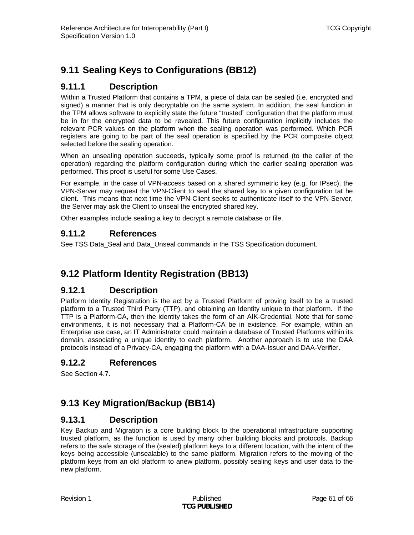# <span id="page-60-0"></span>**9.11 Sealing Keys to Configurations (BB12)**

### **9.11.1 Description**

Within a Trusted Platform that contains a TPM, a piece of data can be sealed (i.e. encrypted and signed) a manner that is only decryptable on the same system. In addition, the seal function in the TPM allows software to explicitly state the future "trusted" configuration that the platform must be in for the encrypted data to be revealed. This future configuration implicitly includes the relevant PCR values on the platform when the sealing operation was performed. Which PCR registers are going to be part of the seal operation is specified by the PCR composite object selected before the sealing operation.

When an unsealing operation succeeds, typically some proof is returned (to the caller of the operation) regarding the platform configuration during which the earlier sealing operation was performed. This proof is useful for some Use Cases.

For example, in the case of VPN-access based on a shared symmetric key (e.g. for IPsec), the VPN-Server may request the VPN-Client to seal the shared key to a given configuration tat he client. This means that next time the VPN-Client seeks to authenticate itself to the VPN-Server, the Server may ask the Client to unseal the encrypted shared key.

Other examples include sealing a key to decrypt a remote database or file.

### **9.11.2 References**

See TSS Data Seal and Data Unseal commands in the TSS Specification document.

# **9.12 Platform Identity Registration (BB13)**

### **9.12.1 Description**

Platform Identity Registration is the act by a Trusted Platform of proving itself to be a trusted platform to a Trusted Third Party (TTP), and obtaining an Identity unique to that platform. If the TTP is a Platform-CA, then the identity takes the form of an AIK-Credential. Note that for some environments, it is not necessary that a Platform-CA be in existence. For example, within an Enterprise use case, an IT Administrator could maintain a database of Trusted Platforms within its domain, associating a unique identity to each platform. Another approach is to use the DAA protocols instead of a Privacy-CA, engaging the platform with a DAA-Issuer and DAA-Verifier.

### **9.12.2 References**

See Section [4.7.](#page-30-1)

# **9.13 Key Migration/Backup (BB14)**

### **9.13.1 Description**

Key Backup and Migration is a core building block to the operational infrastructure supporting trusted platform, as the function is used by many other building blocks and protocols. Backup refers to the safe storage of the (sealed) platform keys to a different location, with the intent of the keys being accessible (unsealable) to the same platform. Migration refers to the moving of the platform keys from an old platform to anew platform, possibly sealing keys and user data to the new platform.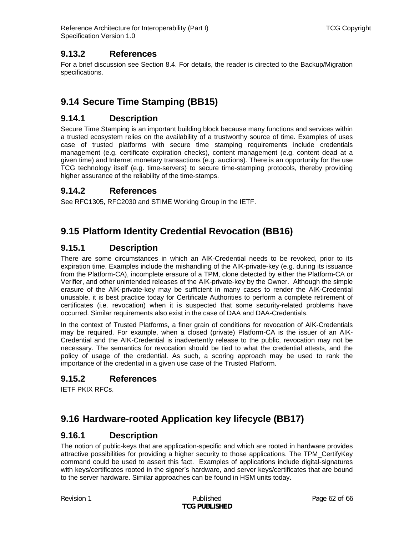### <span id="page-61-0"></span>**9.13.2 References**

For a brief discussion see Section [8.4.](#page-53-1) For details, the reader is directed to the Backup/Migration specifications.

# **9.14 Secure Time Stamping (BB15)**

### **9.14.1 Description**

Secure Time Stamping is an important building block because many functions and services within a trusted ecosystem relies on the availability of a trustworthy source of time. Examples of uses case of trusted platforms with secure time stamping requirements include credentials management (e.g. certificate expiration checks), content management (e.g. content dead at a given time) and Internet monetary transactions (e.g. auctions). There is an opportunity for the use TCG technology itself (e.g. time-servers) to secure time-stamping protocols, thereby providing higher assurance of the reliability of the time-stamps.

### **9.14.2 References**

See RFC1305, RFC2030 and STIME Working Group in the IETF.

# **9.15 Platform Identity Credential Revocation (BB16)**

### **9.15.1 Description**

There are some circumstances in which an AIK-Credential needs to be revoked, prior to its expiration time. Examples include the mishandling of the AIK-private-key (e.g. during its issuance from the Platform-CA), incomplete erasure of a TPM, clone detected by either the Platform-CA or Verifier, and other unintended releases of the AIK-private-key by the Owner. Although the simple erasure of the AIK-private-key may be sufficient in many cases to render the AIK-Credential unusable, it is best practice today for Certificate Authorities to perform a complete retirement of certificates (i.e. revocation) when it is suspected that some security-related problems have occurred. Similar requirements also exist in the case of DAA and DAA-Credentials.

In the context of Trusted Platforms, a finer grain of conditions for revocation of AIK-Credentials may be required. For example, when a closed (private) Platform-CA is the issuer of an AIK-Credential and the AIK-Credential is inadvertently release to the public, revocation may not be necessary. The semantics for revocation should be tied to what the credential attests, and the policy of usage of the credential. As such, a scoring approach may be used to rank the importance of the credential in a given use case of the Trusted Platform.

### **9.15.2 References**

IETF PKIX RFCs.

# **9.16 Hardware-rooted Application key lifecycle (BB17)**

### **9.16.1 Description**

The notion of public-keys that are application-specific and which are rooted in hardware provides attractive possibilities for providing a higher security to those applications. The TPM\_CertifyKey command could be used to assert this fact. Examples of applications include digital-signatures with keys/certificates rooted in the signer's hardware, and server keys/certificates that are bound to the server hardware. Similar approaches can be found in HSM units today.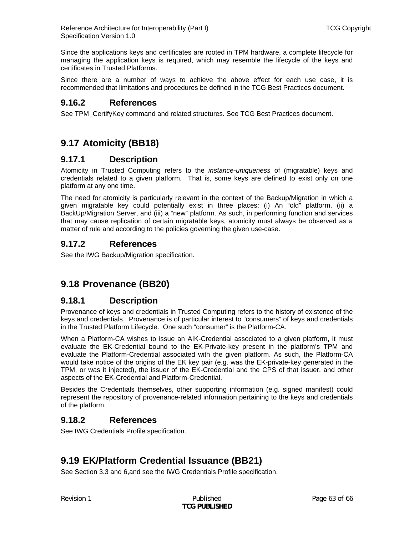<span id="page-62-0"></span>Since the applications keys and certificates are rooted in TPM hardware, a complete lifecycle for managing the application keys is required, which may resemble the lifecycle of the keys and certificates in Trusted Platforms.

Since there are a number of ways to achieve the above effect for each use case, it is recommended that limitations and procedures be defined in the TCG Best Practices document.

### **9.16.2 References**

See TPM\_CertifyKey command and related structures. See TCG Best Practices document.

# **9.17 Atomicity (BB18)**

### **9.17.1 Description**

Atomicity in Trusted Computing refers to the *instance-uniqueness* of (migratable) keys and credentials related to a given platform. That is, some keys are defined to exist only on one platform at any one time.

The need for atomicity is particularly relevant in the context of the Backup/Migration in which a given migratable key could potentially exist in three places: (i) An "old" platform, (ii) a BackUp/Migration Server, and (iii) a "new" platform. As such, in performing function and services that may cause replication of certain migratable keys, atomicity must always be observed as a matter of rule and according to the policies governing the given use-case.

### **9.17.2 References**

See the IWG Backup/Migration specification.

# **9.18 Provenance (BB20)**

### **9.18.1 Description**

Provenance of keys and credentials in Trusted Computing refers to the history of existence of the keys and credentials. Provenance is of particular interest to "consumers" of keys and credentials in the Trusted Platform Lifecycle. One such "consumer" is the Platform-CA.

When a Platform-CA wishes to issue an AIK-Credential associated to a given platform, it must evaluate the EK-Credential bound to the EK-Private-key present in the platform's TPM and evaluate the Platform-Credential associated with the given platform. As such, the Platform-CA would take notice of the origins of the EK key pair (e.g. was the EK-private-key generated in the TPM, or was it injected), the issuer of the EK-Credential and the CPS of that issuer, and other aspects of the EK-Credential and Platform-Credential.

Besides the Credentials themselves, other supporting information (e.g. signed manifest) could represent the repository of provenance-related information pertaining to the keys and credentials of the platform.

### **9.18.2 References**

See IWG Credentials Profile specification.

# **9.19 EK/Platform Credential Issuance (BB21)**

See Section [3.3](#page-14-1) and [6](#page-36-1),and see the IWG Credentials Profile specification.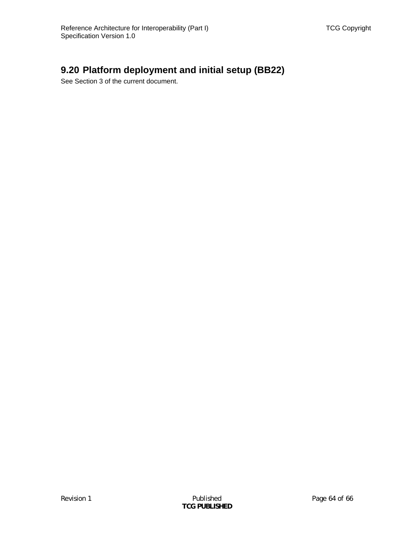# <span id="page-63-0"></span>**9.20 Platform deployment and initial setup (BB22)**

See Section [3](#page-13-2) of the current document.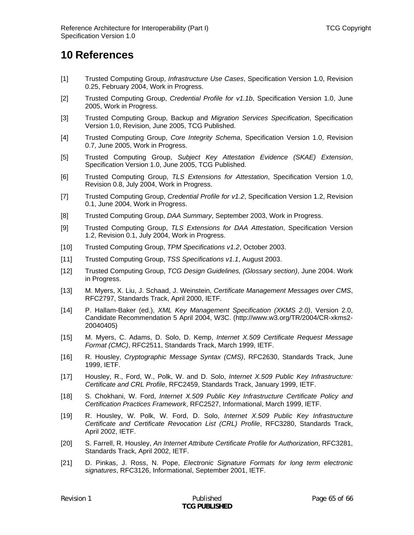# <span id="page-64-0"></span>**10 References**

- <span id="page-64-1"></span>[1] Trusted Computing Group, *Infrastructure Use Cases*, Specification Version 1.0, Revision 0.25, February 2004, Work in Progress.
- <span id="page-64-2"></span>[2] Trusted Computing Group, *Credential Profile for v1.1b*, Specification Version 1.0, June 2005, Work in Progress.
- <span id="page-64-5"></span>[3] Trusted Computing Group, Backup and *Migration Services Specification*, Specification Version 1.0, Revision, June 2005, TCG Published.
- <span id="page-64-4"></span>[4] Trusted Computing Group, *Core Integrity Schema*, Specification Version 1.0, Revision 0.7, June 2005, Work in Progress.
- <span id="page-64-9"></span>[5] Trusted Computing Group, *Subject Key Attestation Evidence (SKAE) Extension*, Specification Version 1.0, June 2005, TCG Published.
- <span id="page-64-3"></span>[6] Trusted Computing Group, *TLS Extensions for Attestation*, Specification Version 1.0, Revision 0.8, July 2004, Work in Progress.
- [7] Trusted Computing Group, *Credential Profile for v1.2*, Specification Version 1.2, Revision 0.1, June 2004, Work in Progress.
- <span id="page-64-6"></span>[8] Trusted Computing Group, *DAA Summary*, September 2003, Work in Progress.
- [9] Trusted Computing Group, *TLS Extensions for DAA Attestation*, Specification Version 1.2, Revision 0.1, July 2004, Work in Progress.
- <span id="page-64-7"></span>[10] Trusted Computing Group, *TPM Specifications v1.2*, October 2003.
- <span id="page-64-8"></span>[11] Trusted Computing Group, *TSS Specifications v1.1*, August 2003.
- <span id="page-64-10"></span>[12] Trusted Computing Group, *TCG Design Guidelines, (Glossary section)*, June 2004. Work in Progress.
- <span id="page-64-11"></span>[13] M. Myers, X. Liu, J. Schaad, J. Weinstein, *Certificate Management Messages over CMS*, RFC2797, Standards Track, April 2000, IETF.
- <span id="page-64-12"></span>[14] P. Hallam-Baker (ed.), *XML Key Management Specification (XKMS 2.0)*, Version 2.0, Candidate Recommendation 5 April 2004, W3C. (http://www.w3.org/TR/2004/CR-xkms2- 20040405)
- <span id="page-64-13"></span>[15] M. Myers, C. Adams, D. Solo, D. Kemp, *Internet X.509 Certificate Request Message Format (CMC)*, RFC2511, Standards Track, March 1999, IETF.
- <span id="page-64-14"></span>[16] R. Housley, *Cryptographic Message Syntax (CMS)*, RFC2630, Standards Track, June 1999, IETF.
- [17] Housley, R., Ford, W., Polk, W. and D. Solo, *Internet X.509 Public Key Infrastructure: Certificate and CRL Profile*, RFC2459, Standards Track, January 1999, IETF.
- <span id="page-64-15"></span>[18] S. Chokhani, W. Ford, *Internet X.509 Public Key Infrastructure Certificate Policy and Certification Practices Framework*, RFC2527, Informational, March 1999, IETF.
- <span id="page-64-16"></span>[19] R. Housley, W. Polk, W. Ford, D. Solo, *Internet X.509 Public Key Infrastructure Certificate and Certificate Revocation List (CRL) Profile*, RFC3280, Standards Track, April 2002, IETF.
- <span id="page-64-17"></span>[20] S. Farrell, R. Housley, *An Internet Attribute Certificate Profile for Authorization*, RFC3281, Standards Track, April 2002, IETF.
- <span id="page-64-18"></span>[21] D. Pinkas, J. Ross, N. Pope, *Electronic Signature Formats for long term electronic signatures*, RFC3126, Informational, September 2001, IETF.